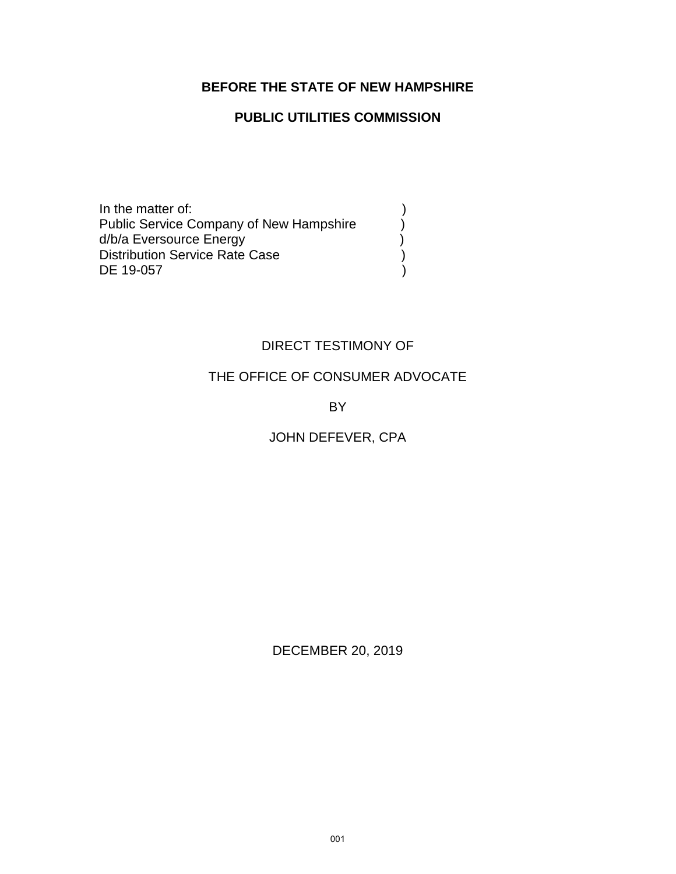#### **BEFORE THE STATE OF NEW HAMPSHIRE**

#### **PUBLIC UTILITIES COMMISSION**

In the matter of: (1)<br>Public Service Company of New Hampshire (1) Public Service Company of New Hampshire  $\bigcup_{d/b/a}$  Eversource Energy d/b/a Eversource Energy Distribution Service Rate Case (1996) DE 19-057 )

#### DIRECT TESTIMONY OF

#### THE OFFICE OF CONSUMER ADVOCATE

BY

### JOHN DEFEVER, CPA

DECEMBER 20, 2019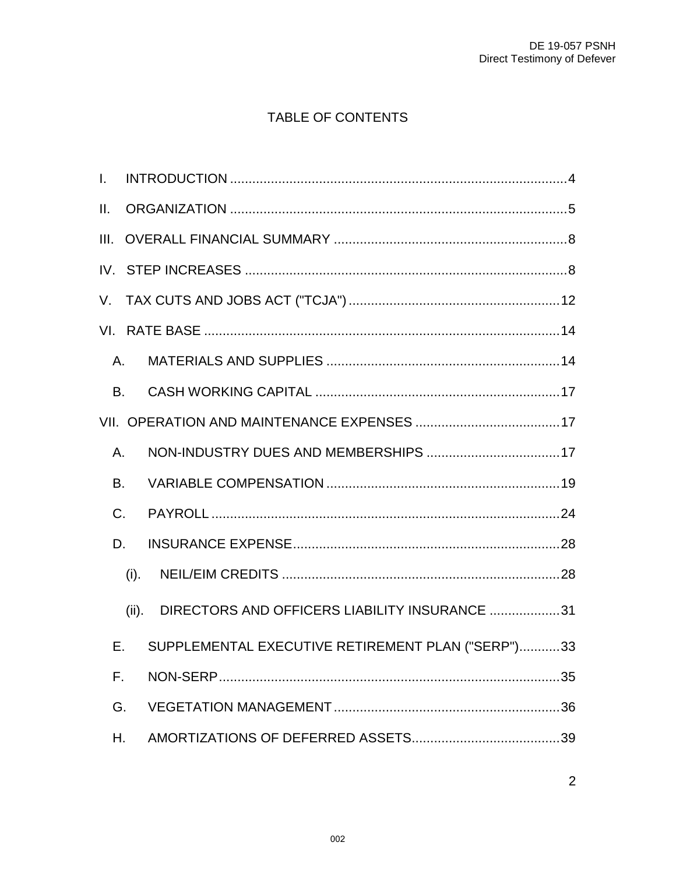# TABLE OF CONTENTS

| L.       |       |                                                   |  |
|----------|-------|---------------------------------------------------|--|
| II.      |       |                                                   |  |
| III.     |       |                                                   |  |
| $IV_{-}$ |       |                                                   |  |
| V.       |       |                                                   |  |
|          |       |                                                   |  |
| A.       |       |                                                   |  |
| B.       |       |                                                   |  |
|          |       |                                                   |  |
| A.       |       |                                                   |  |
| B.       |       |                                                   |  |
| C.       |       |                                                   |  |
| D.       |       |                                                   |  |
|          | (i).  |                                                   |  |
|          | (ii). | DIRECTORS AND OFFICERS LIABILITY INSURANCE 31     |  |
| Е.       |       | SUPPLEMENTAL EXECUTIVE RETIREMENT PLAN ("SERP")33 |  |
| F.       |       |                                                   |  |
| G.       |       |                                                   |  |
| Н.       |       |                                                   |  |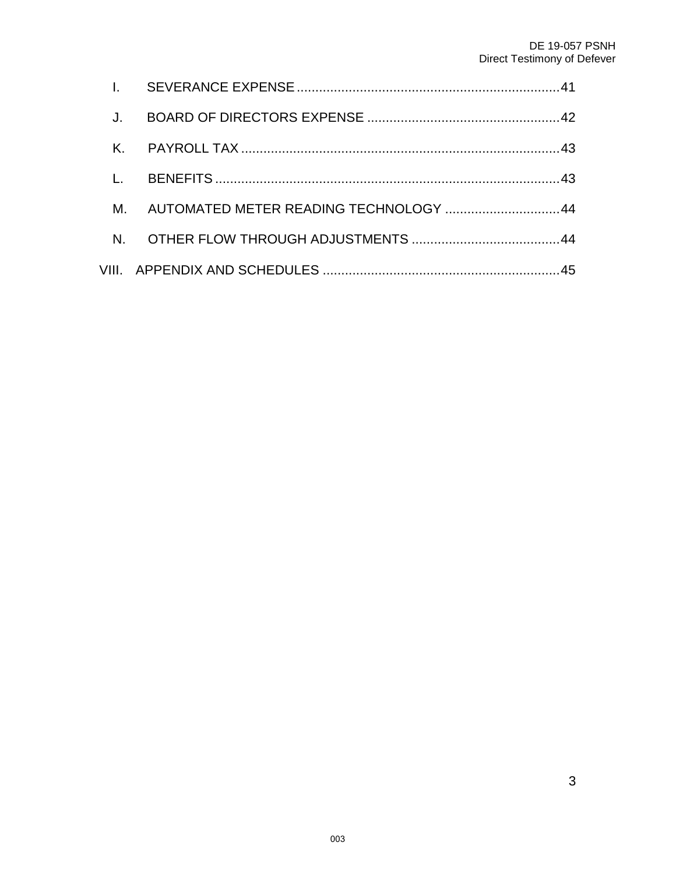| М.             | AUTOMATED METER READING TECHNOLOGY 44 |  |
|----------------|---------------------------------------|--|
| $N_{\rm{eff}}$ |                                       |  |
|                |                                       |  |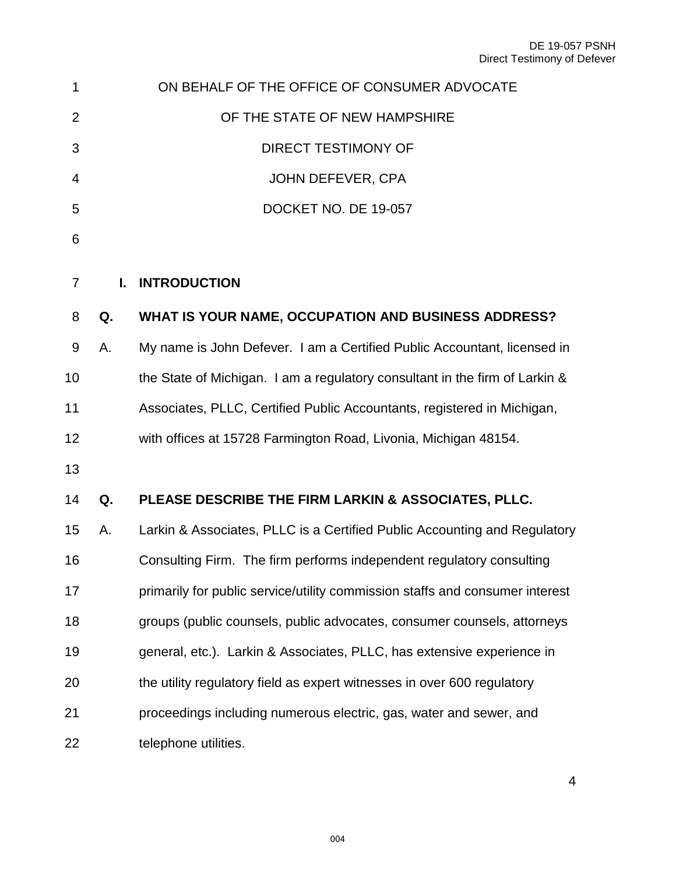<span id="page-3-0"></span>

| 1              |    | ON BEHALF OF THE OFFICE OF CONSUMER ADVOCATE                                 |
|----------------|----|------------------------------------------------------------------------------|
| $\overline{2}$ |    | OF THE STATE OF NEW HAMPSHIRE                                                |
| 3              |    | <b>DIRECT TESTIMONY OF</b>                                                   |
| 4              |    | <b>JOHN DEFEVER, CPA</b>                                                     |
| 5              |    | DOCKET NO. DE 19-057                                                         |
| 6              |    |                                                                              |
| $\overline{7}$ | L. | <b>INTRODUCTION</b>                                                          |
| 8              | Q. | WHAT IS YOUR NAME, OCCUPATION AND BUSINESS ADDRESS?                          |
| 9              | Α. | My name is John Defever. I am a Certified Public Accountant, licensed in     |
| 10             |    | the State of Michigan. I am a regulatory consultant in the firm of Larkin &  |
| 11             |    | Associates, PLLC, Certified Public Accountants, registered in Michigan,      |
| 12             |    | with offices at 15728 Farmington Road, Livonia, Michigan 48154.              |
| 13             |    |                                                                              |
| 14             | Q. | PLEASE DESCRIBE THE FIRM LARKIN & ASSOCIATES, PLLC.                          |
| 15             | А. | Larkin & Associates, PLLC is a Certified Public Accounting and Regulatory    |
| 16             |    | Consulting Firm. The firm performs independent regulatory consulting         |
| 17             |    | primarily for public service/utility commission staffs and consumer interest |
| 18             |    | groups (public counsels, public advocates, consumer counsels, attorneys      |
| 19             |    | general, etc.). Larkin & Associates, PLLC, has extensive experience in       |
| 20             |    | the utility regulatory field as expert witnesses in over 600 regulatory      |
| 21             |    | proceedings including numerous electric, gas, water and sewer, and           |
| 22             |    | telephone utilities.                                                         |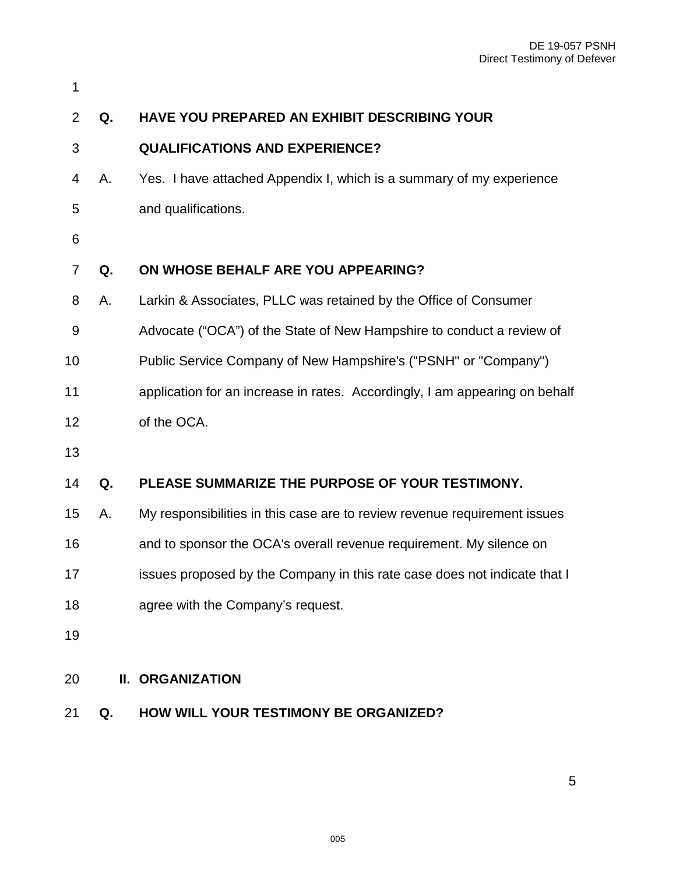| 1                |    |                                                                             |
|------------------|----|-----------------------------------------------------------------------------|
| $\overline{2}$   | Q. | HAVE YOU PREPARED AN EXHIBIT DESCRIBING YOUR                                |
| 3                |    | <b>QUALIFICATIONS AND EXPERIENCE?</b>                                       |
| 4                | А. | Yes. I have attached Appendix I, which is a summary of my experience        |
| 5                |    | and qualifications.                                                         |
| 6                |    |                                                                             |
| $\overline{7}$   | Q. | ON WHOSE BEHALF ARE YOU APPEARING?                                          |
| 8                | Α. | Larkin & Associates, PLLC was retained by the Office of Consumer            |
| $\boldsymbol{9}$ |    | Advocate ("OCA") of the State of New Hampshire to conduct a review of       |
| 10               |    | Public Service Company of New Hampshire's ("PSNH" or "Company")             |
| 11               |    | application for an increase in rates. Accordingly, I am appearing on behalf |
| 12               |    | of the OCA.                                                                 |
| 13               |    |                                                                             |
| 14               | Q. | PLEASE SUMMARIZE THE PURPOSE OF YOUR TESTIMONY.                             |
| 15               | Α. | My responsibilities in this case are to review revenue requirement issues   |
| 16               |    | and to sponsor the OCA's overall revenue requirement. My silence on         |
| 17               |    | issues proposed by the Company in this rate case does not indicate that I   |
| 18               |    | agree with the Company's request.                                           |
| 19               |    |                                                                             |
| 20               |    | <b>II. ORGANIZATION</b>                                                     |
|                  |    |                                                                             |

<span id="page-4-0"></span>**Q. HOW WILL YOUR TESTIMONY BE ORGANIZED?**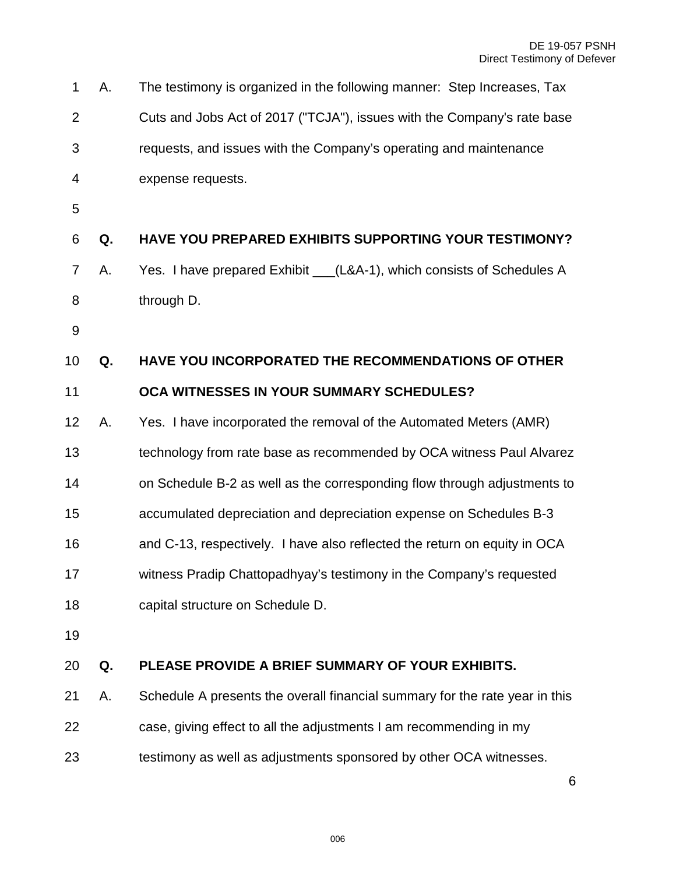| 1              | А. | The testimony is organized in the following manner: Step Increases, Tax     |
|----------------|----|-----------------------------------------------------------------------------|
| $\overline{2}$ |    | Cuts and Jobs Act of 2017 ("TCJA"), issues with the Company's rate base     |
| 3              |    | requests, and issues with the Company's operating and maintenance           |
| 4              |    | expense requests.                                                           |
| 5              |    |                                                                             |
| 6              | Q. | <b>HAVE YOU PREPARED EXHIBITS SUPPORTING YOUR TESTIMONY?</b>                |
| 7              | Α. | Yes. I have prepared Exhibit ___(L&A-1), which consists of Schedules A      |
| 8              |    | through D.                                                                  |
| $9\,$          |    |                                                                             |
| 10             | Q. | <b>HAVE YOU INCORPORATED THE RECOMMENDATIONS OF OTHER</b>                   |
| 11             |    | OCA WITNESSES IN YOUR SUMMARY SCHEDULES?                                    |
| 12             | Α. | Yes. I have incorporated the removal of the Automated Meters (AMR)          |
| 13             |    | technology from rate base as recommended by OCA witness Paul Alvarez        |
| 14             |    | on Schedule B-2 as well as the corresponding flow through adjustments to    |
| 15             |    | accumulated depreciation and depreciation expense on Schedules B-3          |
| 16             |    | and C-13, respectively. I have also reflected the return on equity in OCA   |
| 17             |    | witness Pradip Chattopadhyay's testimony in the Company's requested         |
| 18             |    | capital structure on Schedule D.                                            |
| 19             |    |                                                                             |
| 20             | Q. | PLEASE PROVIDE A BRIEF SUMMARY OF YOUR EXHIBITS.                            |
| 21             | Α. | Schedule A presents the overall financial summary for the rate year in this |
| 22             |    | case, giving effect to all the adjustments I am recommending in my          |
| 23             |    | testimony as well as adjustments sponsored by other OCA witnesses.          |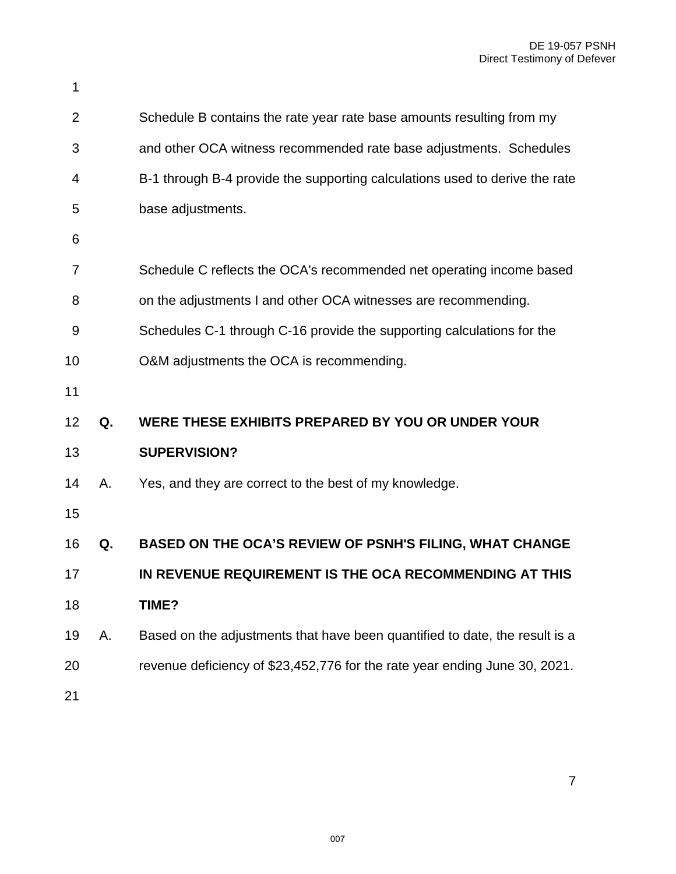| 1              |    |                                                                             |
|----------------|----|-----------------------------------------------------------------------------|
| 2              |    | Schedule B contains the rate year rate base amounts resulting from my       |
| 3              |    | and other OCA witness recommended rate base adjustments. Schedules          |
| 4              |    | B-1 through B-4 provide the supporting calculations used to derive the rate |
| 5              |    | base adjustments.                                                           |
| 6              |    |                                                                             |
| $\overline{7}$ |    | Schedule C reflects the OCA's recommended net operating income based        |
| 8              |    | on the adjustments I and other OCA witnesses are recommending.              |
| 9              |    | Schedules C-1 through C-16 provide the supporting calculations for the      |
| 10             |    | O&M adjustments the OCA is recommending.                                    |
| 11             |    |                                                                             |
| 12             | Q. | WERE THESE EXHIBITS PREPARED BY YOU OR UNDER YOUR                           |
| 13             |    | <b>SUPERVISION?</b>                                                         |
| 14             | Α. | Yes, and they are correct to the best of my knowledge.                      |
| 15             |    |                                                                             |
| 16             | Q. | BASED ON THE OCA'S REVIEW OF PSNH'S FILING, WHAT CHANGE                     |
| 17             |    | IN REVENUE REQUIREMENT IS THE OCA RECOMMENDING AT THIS                      |
| 18             |    | TIME?                                                                       |
| 19             | А. | Based on the adjustments that have been quantified to date, the result is a |
| 20             |    | revenue deficiency of \$23,452,776 for the rate year ending June 30, 2021.  |
| 21             |    |                                                                             |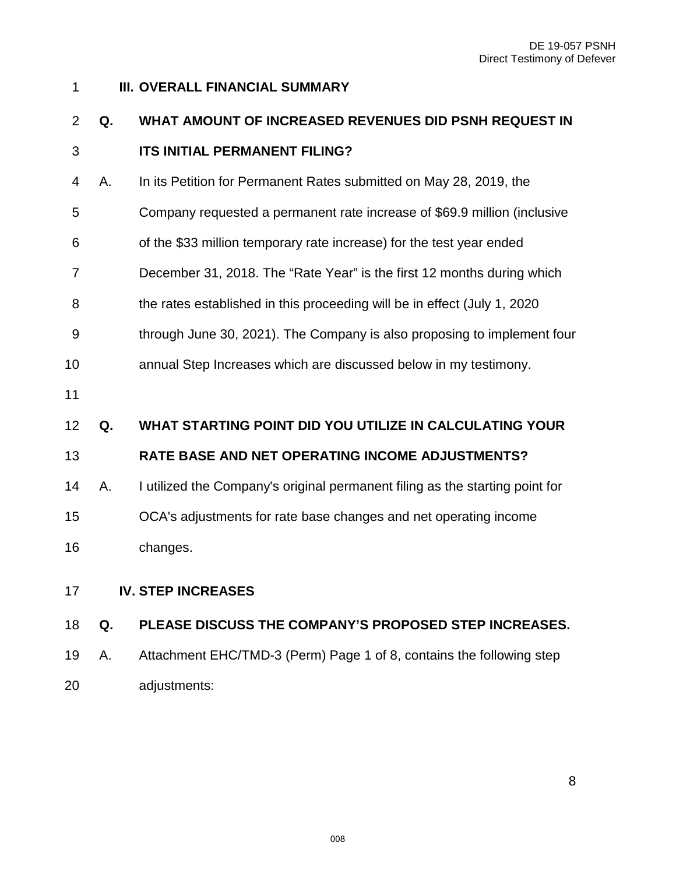# <span id="page-7-0"></span>**III. OVERALL FINANCIAL SUMMARY Q. WHAT AMOUNT OF INCREASED REVENUES DID PSNH REQUEST IN ITS INITIAL PERMANENT FILING?**  4 A. In its Petition for Permanent Rates submitted on May 28, 2019, the 5 Company requested a permanent rate increase of \$69.9 million (inclusive 6 of the \$33 million temporary rate increase) for the test year ended 7 December 31, 2018. The "Rate Year" is the first 12 months during which 8 the rates established in this proceeding will be in effect (July 1, 2020 9 through June 30, 2021). The Company is also proposing to implement four annual Step Increases which are discussed below in my testimony. **Q. WHAT STARTING POINT DID YOU UTILIZE IN CALCULATING YOUR RATE BASE AND NET OPERATING INCOME ADJUSTMENTS?** A. I utilized the Company's original permanent filing as the starting point for OCA's adjustments for rate base changes and net operating income changes. **IV. STEP INCREASES Q. PLEASE DISCUSS THE COMPANY'S PROPOSED STEP INCREASES.**

<span id="page-7-1"></span> A. Attachment EHC/TMD-3 (Perm) Page 1 of 8, contains the following step adjustments: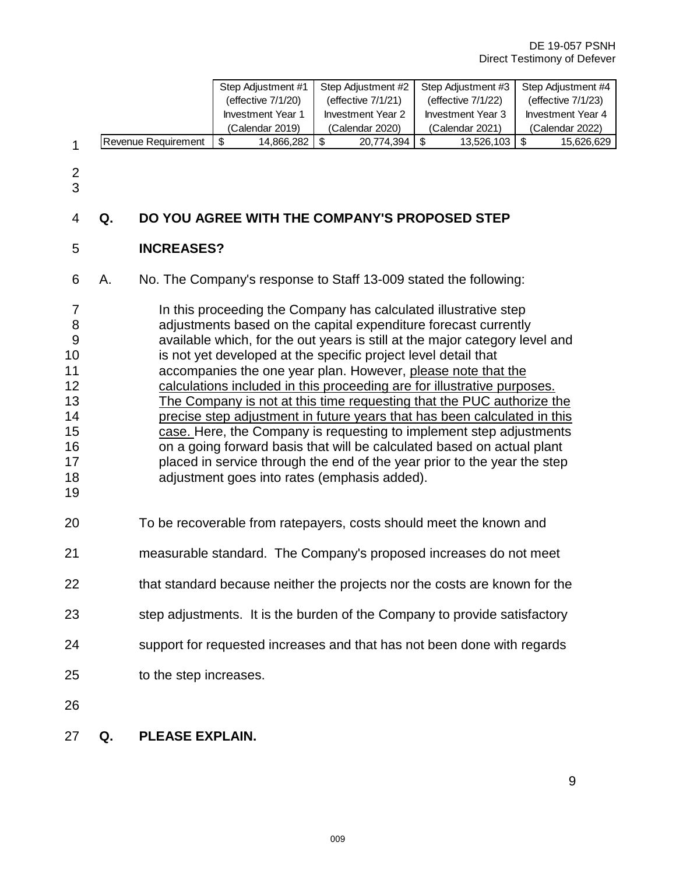|                |                                                                   |                                                                            |    | Step Adjustment #1       |                          | Step Adjustment #2                                                          |                           | Step Adjustment #3       |                    | Step Adjustment #4       |  |
|----------------|-------------------------------------------------------------------|----------------------------------------------------------------------------|----|--------------------------|--------------------------|-----------------------------------------------------------------------------|---------------------------|--------------------------|--------------------|--------------------------|--|
|                |                                                                   |                                                                            |    | (effective 7/1/20)       |                          | (effective 7/1/21)                                                          |                           | (effective 7/1/22)       | (effective 7/1/23) |                          |  |
|                |                                                                   |                                                                            |    | <b>Investment Year 1</b> | <b>Investment Year 2</b> |                                                                             |                           | <b>Investment Year 3</b> |                    | <b>Investment Year 4</b> |  |
|                |                                                                   |                                                                            |    | (Calendar 2019)          |                          | (Calendar 2020)                                                             |                           | (Calendar 2021)          | (Calendar 2022)    |                          |  |
| $\mathbf{1}$   |                                                                   | Revenue Requirement                                                        | \$ | 14,866,282               | $\sqrt[6]{\frac{1}{2}}$  | 20,774,394                                                                  | $\boldsymbol{\mathsf{S}}$ | 13,526,103               | \$                 | 15,626,629               |  |
|                |                                                                   |                                                                            |    |                          |                          |                                                                             |                           |                          |                    |                          |  |
| 2<br>3         |                                                                   |                                                                            |    |                          |                          |                                                                             |                           |                          |                    |                          |  |
| 4              | Q.                                                                | DO YOU AGREE WITH THE COMPANY'S PROPOSED STEP                              |    |                          |                          |                                                                             |                           |                          |                    |                          |  |
| 5              |                                                                   | <b>INCREASES?</b>                                                          |    |                          |                          |                                                                             |                           |                          |                    |                          |  |
| 6              | Α.                                                                | No. The Company's response to Staff 13-009 stated the following:           |    |                          |                          |                                                                             |                           |                          |                    |                          |  |
| $\overline{7}$ |                                                                   |                                                                            |    |                          |                          | In this proceeding the Company has calculated illustrative step             |                           |                          |                    |                          |  |
| 8              |                                                                   |                                                                            |    |                          |                          | adjustments based on the capital expenditure forecast currently             |                           |                          |                    |                          |  |
| 9              |                                                                   |                                                                            |    |                          |                          | available which, for the out years is still at the major category level and |                           |                          |                    |                          |  |
| 10             |                                                                   |                                                                            |    |                          |                          | is not yet developed at the specific project level detail that              |                           |                          |                    |                          |  |
|                |                                                                   |                                                                            |    |                          |                          |                                                                             |                           |                          |                    |                          |  |
| 11             |                                                                   |                                                                            |    |                          |                          | accompanies the one year plan. However, please note that the                |                           |                          |                    |                          |  |
| 12             |                                                                   |                                                                            |    |                          |                          | calculations included in this proceeding are for illustrative purposes.     |                           |                          |                    |                          |  |
| 13             |                                                                   |                                                                            |    |                          |                          | The Company is not at this time requesting that the PUC authorize the       |                           |                          |                    |                          |  |
| 14             |                                                                   |                                                                            |    |                          |                          | precise step adjustment in future years that has been calculated in this    |                           |                          |                    |                          |  |
| 15             |                                                                   |                                                                            |    |                          |                          | case. Here, the Company is requesting to implement step adjustments         |                           |                          |                    |                          |  |
| 16             |                                                                   |                                                                            |    |                          |                          | on a going forward basis that will be calculated based on actual plant      |                           |                          |                    |                          |  |
| 17             |                                                                   |                                                                            |    |                          |                          | placed in service through the end of the year prior to the year the step    |                           |                          |                    |                          |  |
| 18             |                                                                   |                                                                            |    |                          |                          | adjustment goes into rates (emphasis added).                                |                           |                          |                    |                          |  |
| 19             |                                                                   |                                                                            |    |                          |                          |                                                                             |                           |                          |                    |                          |  |
| 20             |                                                                   | To be recoverable from ratepayers, costs should meet the known and         |    |                          |                          |                                                                             |                           |                          |                    |                          |  |
| 21             | measurable standard. The Company's proposed increases do not meet |                                                                            |    |                          |                          |                                                                             |                           |                          |                    |                          |  |
| 22             |                                                                   | that standard because neither the projects nor the costs are known for the |    |                          |                          |                                                                             |                           |                          |                    |                          |  |
| 23             |                                                                   | step adjustments. It is the burden of the Company to provide satisfactory  |    |                          |                          |                                                                             |                           |                          |                    |                          |  |
| 24             |                                                                   | support for requested increases and that has not been done with regards    |    |                          |                          |                                                                             |                           |                          |                    |                          |  |
| 25             |                                                                   | to the step increases.                                                     |    |                          |                          |                                                                             |                           |                          |                    |                          |  |
| 26             |                                                                   |                                                                            |    |                          |                          |                                                                             |                           |                          |                    |                          |  |
| 27             | Q.                                                                | PLEASE EXPLAIN.                                                            |    |                          |                          |                                                                             |                           |                          |                    |                          |  |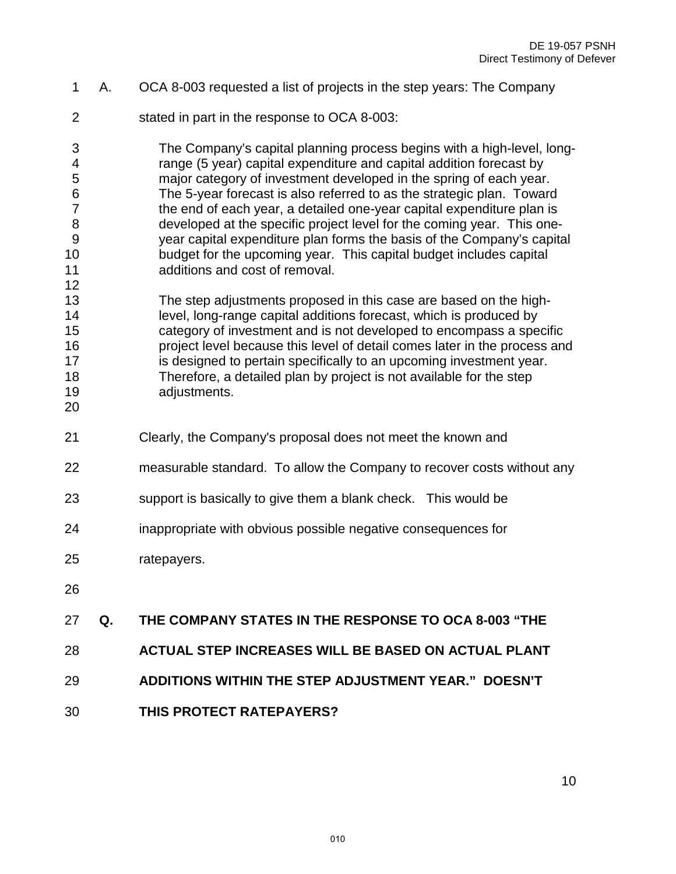- 1 A. OCA 8-003 requested a list of projects in the step years: The Company
- 2 stated in part in the response to OCA 8-003:

3 The Company's capital planning process begins with a high-level, long-4 range (5 year) capital expenditure and capital addition forecast by 5 major category of investment developed in the spring of each year. 6 The 5-year forecast is also referred to as the strategic plan. Toward 7 the end of each year, a detailed one-year capital expenditure plan is 8 developed at the specific project level for the coming year. This one-9 year capital expenditure plan forms the basis of the Company's capital budget for the upcoming year. This capital budget includes capital additions and cost of removal.

 The step adjustments proposed in this case are based on the high- level, long-range capital additions forecast, which is produced by category of investment and is not developed to encompass a specific project level because this level of detail comes later in the process and 17 is designed to pertain specifically to an upcoming investment year. Therefore, a detailed plan by project is not available for the step adjustments.

- Clearly, the Company's proposal does not meet the known and
- measurable standard. To allow the Company to recover costs without any
- support is basically to give them a blank check. This would be
- inappropriate with obvious possible negative consequences for
- ratepayers.
- 

#### **Q. THE COMPANY STATES IN THE RESPONSE TO OCA 8-003 "THE**

- **ACTUAL STEP INCREASES WILL BE BASED ON ACTUAL PLANT**
- **ADDITIONS WITHIN THE STEP ADJUSTMENT YEAR." DOESN'T**
- **THIS PROTECT RATEPAYERS?**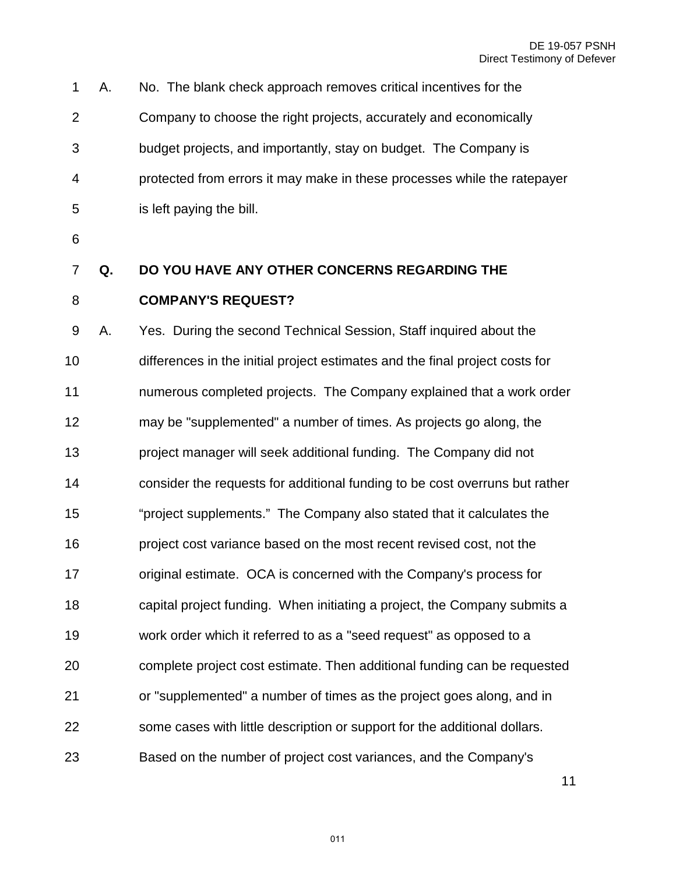| 1              | А. | No. The blank check approach removes critical incentives for the             |
|----------------|----|------------------------------------------------------------------------------|
| $\overline{2}$ |    | Company to choose the right projects, accurately and economically            |
| 3              |    | budget projects, and importantly, stay on budget. The Company is             |
| 4              |    | protected from errors it may make in these processes while the ratepayer     |
| 5              |    | is left paying the bill.                                                     |
| 6              |    |                                                                              |
| $\overline{7}$ | Q. | DO YOU HAVE ANY OTHER CONCERNS REGARDING THE                                 |
| 8              |    | <b>COMPANY'S REQUEST?</b>                                                    |
| 9              | Α. | Yes. During the second Technical Session, Staff inquired about the           |
| 10             |    | differences in the initial project estimates and the final project costs for |
| 11             |    | numerous completed projects. The Company explained that a work order         |
| 12             |    | may be "supplemented" a number of times. As projects go along, the           |
| 13             |    | project manager will seek additional funding. The Company did not            |
| 14             |    | consider the requests for additional funding to be cost overruns but rather  |
| 15             |    | "project supplements." The Company also stated that it calculates the        |
| 16             |    | project cost variance based on the most recent revised cost, not the         |
| 17             |    | original estimate. OCA is concerned with the Company's process for           |
| 18             |    | capital project funding. When initiating a project, the Company submits a    |
| 19             |    | work order which it referred to as a "seed request" as opposed to a          |

complete project cost estimate. Then additional funding can be requested

or "supplemented" a number of times as the project goes along, and in

some cases with little description or support for the additional dollars.

Based on the number of project cost variances, and the Company's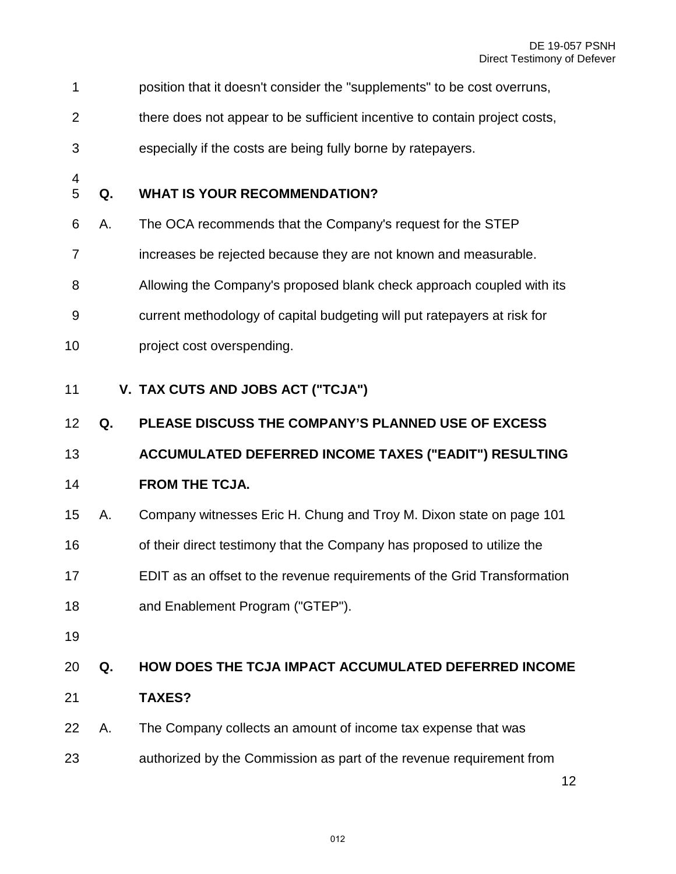- 1 position that it doesn't consider the "supplements" to be cost overruns,
- 2 there does not appear to be sufficient incentive to contain project costs,
- 3 especially if the costs are being fully borne by ratepayers.
- 

#### **Q. WHAT IS YOUR RECOMMENDATION?**

- 6 A. The OCA recommends that the Company's request for the STEP
- 7 increases be rejected because they are not known and measurable.
- 8 Allowing the Company's proposed blank check approach coupled with its
- 9 current methodology of capital budgeting will put ratepayers at risk for
- project cost overspending.
- <span id="page-11-0"></span>**V. TAX CUTS AND JOBS ACT ("TCJA")**
- **Q. PLEASE DISCUSS THE COMPANY'S PLANNED USE OF EXCESS**

#### **ACCUMULATED DEFERRED INCOME TAXES ("EADIT") RESULTING**

# **FROM THE TCJA.**

- A. Company witnesses Eric H. Chung and Troy M. Dixon state on page 101
- 16 of their direct testimony that the Company has proposed to utilize the
- EDIT as an offset to the revenue requirements of the Grid Transformation
- and Enablement Program ("GTEP").
- 

# **Q. HOW DOES THE TCJA IMPACT ACCUMULATED DEFERRED INCOME**

- **TAXES?**
- A. The Company collects an amount of income tax expense that was
- authorized by the Commission as part of the revenue requirement from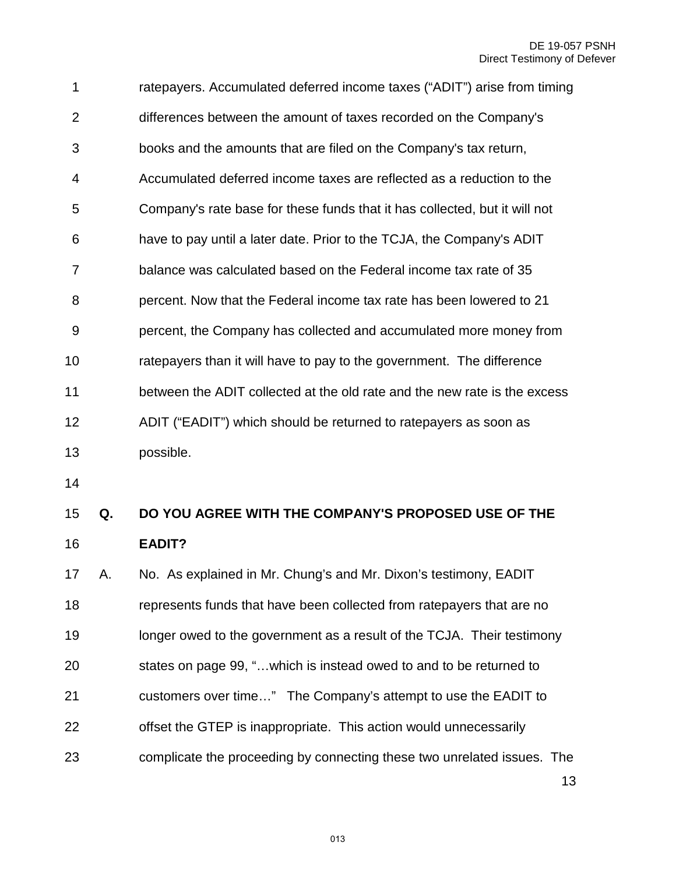| 1              | ratepayers. Accumulated deferred income taxes ("ADIT") arise from timing   |
|----------------|----------------------------------------------------------------------------|
| 2              | differences between the amount of taxes recorded on the Company's          |
| 3              | books and the amounts that are filed on the Company's tax return,          |
| 4              | Accumulated deferred income taxes are reflected as a reduction to the      |
| 5              | Company's rate base for these funds that it has collected, but it will not |
| 6              | have to pay until a later date. Prior to the TCJA, the Company's ADIT      |
| $\overline{7}$ | balance was calculated based on the Federal income tax rate of 35          |
| 8              | percent. Now that the Federal income tax rate has been lowered to 21       |
| 9              | percent, the Company has collected and accumulated more money from         |
| 10             | ratepayers than it will have to pay to the government. The difference      |
| 11             | between the ADIT collected at the old rate and the new rate is the excess  |
| 12             | ADIT ("EADIT") which should be returned to ratepayers as soon as           |
| 13             | possible.                                                                  |

# 15 **Q. DO YOU AGREE WITH THE COMPANY'S PROPOSED USE OF THE**  16 **EADIT?**

13 A. No. As explained in Mr. Chung's and Mr. Dixon's testimony, EADIT represents funds that have been collected from ratepayers that are no longer owed to the government as a result of the TCJA. Their testimony states on page 99, "…which is instead owed to and to be returned to customers over time…" The Company's attempt to use the EADIT to offset the GTEP is inappropriate. This action would unnecessarily complicate the proceeding by connecting these two unrelated issues. The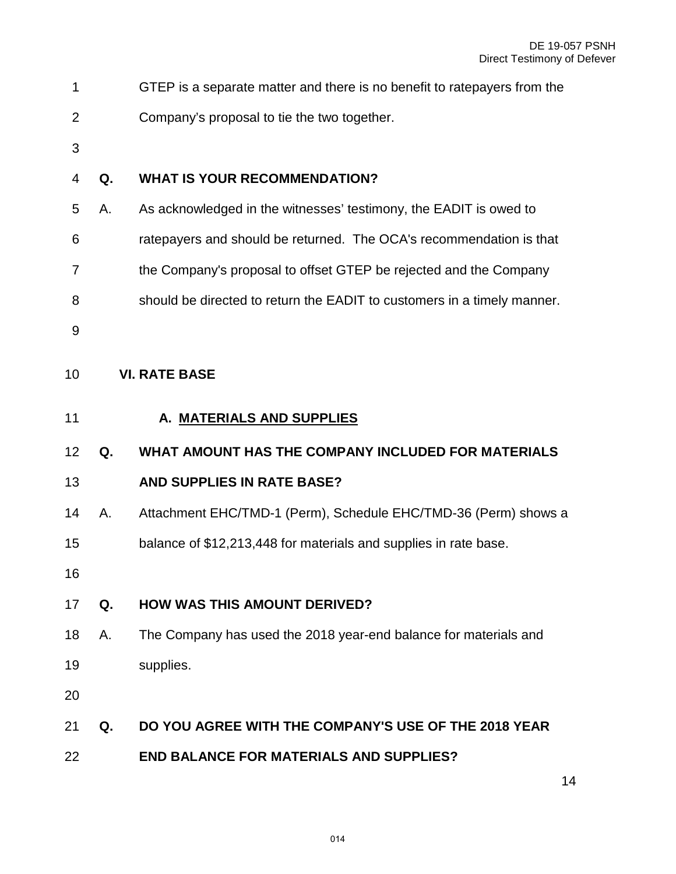<span id="page-13-1"></span><span id="page-13-0"></span>

| 1              |    | GTEP is a separate matter and there is no benefit to ratepayers from the |
|----------------|----|--------------------------------------------------------------------------|
| $\overline{2}$ |    | Company's proposal to tie the two together.                              |
| 3              |    |                                                                          |
| 4              | Q. | <b>WHAT IS YOUR RECOMMENDATION?</b>                                      |
| 5              | Α. | As acknowledged in the witnesses' testimony, the EADIT is owed to        |
| 6              |    | ratepayers and should be returned. The OCA's recommendation is that      |
| 7              |    | the Company's proposal to offset GTEP be rejected and the Company        |
| 8              |    | should be directed to return the EADIT to customers in a timely manner.  |
| 9              |    |                                                                          |
| 10             |    | <b>VI. RATE BASE</b>                                                     |
| 11             |    | A. MATERIALS AND SUPPLIES                                                |
|                |    |                                                                          |
| 12             | Q. | WHAT AMOUNT HAS THE COMPANY INCLUDED FOR MATERIALS                       |
| 13             |    | AND SUPPLIES IN RATE BASE?                                               |
| 14             | Α. | Attachment EHC/TMD-1 (Perm), Schedule EHC/TMD-36 (Perm) shows a          |
| 15             |    | balance of \$12,213,448 for materials and supplies in rate base.         |
| 16             |    |                                                                          |
| 17             | Q. | <b>HOW WAS THIS AMOUNT DERIVED?</b>                                      |
| 18             | Α. | The Company has used the 2018 year-end balance for materials and         |
| 19             |    | supplies.                                                                |
| 20             |    |                                                                          |
| 21             | Q. | DO YOU AGREE WITH THE COMPANY'S USE OF THE 2018 YEAR                     |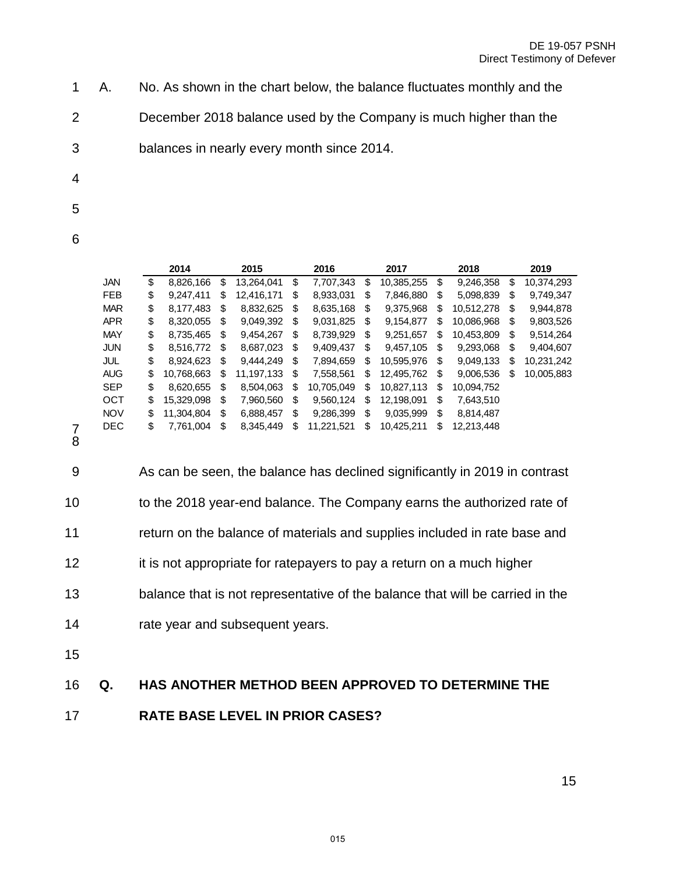- 1 A. No. As shown in the chart below, the balance fluctuates monthly and the
- 2 December 2018 balance used by the Company is much higher than the
- 3 balances in nearly every month since 2014.
- 4
- 5
- 
- 6

|            | 2014             |    | 2015       | 2016             | 2017             |    | 2018       |    | 2019       |
|------------|------------------|----|------------|------------------|------------------|----|------------|----|------------|
| <b>JAN</b> | \$<br>8,826,166  | \$ | 13.264.041 | \$<br>7.707.343  | \$<br>10,385,255 | \$ | 9.246.358  | \$ | 10.374.293 |
| <b>FEB</b> | \$<br>9,247,411  | S  | 12.416.171 | \$<br>8.933.031  | \$<br>7,846,880  | \$ | 5,098,839  | \$ | 9.749.347  |
| <b>MAR</b> | \$<br>8.177.483  | \$ | 8.832.625  | \$<br>8.635.168  | \$<br>9.375.968  | \$ | 10.512.278 | \$ | 9.944.878  |
| <b>APR</b> | \$<br>8,320,055  | \$ | 9,049,392  | \$<br>9,031,825  | \$<br>9,154,877  | \$ | 10,086,968 | \$ | 9,803,526  |
| <b>MAY</b> | \$<br>8.735.465  | \$ | 9.454.267  | \$<br>8.739.929  | \$<br>9,251,657  | S  | 10.453.809 | \$ | 9.514.264  |
| <b>JUN</b> | \$<br>8.516.772  | \$ | 8.687.023  | \$<br>9.409.437  | \$<br>9.457.105  | \$ | 9.293.068  | \$ | 9.404.607  |
| JUL        | \$<br>8.924.623  | \$ | 9.444.249  | \$<br>7.894.659  | \$<br>10.595.976 | \$ | 9.049.133  | \$ | 10.231.242 |
| <b>AUG</b> | \$<br>10.768.663 | \$ | 11,197,133 | \$<br>7.558.561  | \$<br>12.495.762 | \$ | 9,006,536  | S  | 10,005,883 |
| <b>SEP</b> | \$<br>8.620.655  | \$ | 8.504.063  | \$<br>10.705.049 | \$<br>10.827.113 | \$ | 10.094.752 |    |            |
| OCT        | \$<br>15.329.098 | \$ | 7.960.560  | \$<br>9.560.124  | \$<br>12.198.091 | \$ | 7,643,510  |    |            |
| <b>NOV</b> | \$<br>11.304.804 | \$ | 6.888.457  | \$<br>9.286.399  | \$<br>9.035.999  | \$ | 8.814.487  |    |            |
| <b>DEC</b> | \$<br>7,761,004  | \$ | 8,345,449  | \$<br>11,221,521 | \$<br>10,425,211 | \$ | 12,213,448 |    |            |
|            |                  |    |            |                  |                  |    |            |    |            |

9 As can be seen, the balance has declined significantly in 2019 in contrast 10 to the 2018 year-end balance. The Company earns the authorized rate of 11 return on the balance of materials and supplies included in rate base and 12 it is not appropriate for ratepayers to pay a return on a much higher 13 balance that is not representative of the balance that will be carried in the 14 rate year and subsequent years.

15

#### 16 **Q. HAS ANOTHER METHOD BEEN APPROVED TO DETERMINE THE**

17 **RATE BASE LEVEL IN PRIOR CASES?**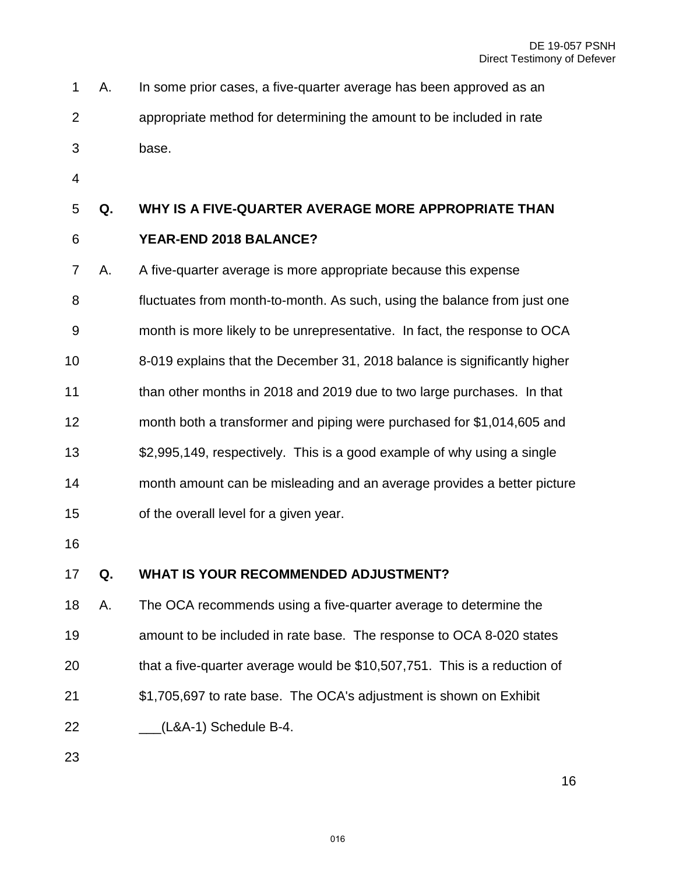|   | 1 A. In some prior cases, a five-quarter average has been approved as an |
|---|--------------------------------------------------------------------------|
|   | appropriate method for determining the amount to be included in rate     |
| 3 | base.                                                                    |

#### **Q. WHY IS A FIVE-QUARTER AVERAGE MORE APPROPRIATE THAN**

# **YEAR-END 2018 BALANCE?**

7 A. A five-quarter average is more appropriate because this expense

8 fluctuates from month-to-month. As such, using the balance from just one 9 month is more likely to be unrepresentative. In fact, the response to OCA

- 8-019 explains that the December 31, 2018 balance is significantly higher than other months in 2018 and 2019 due to two large purchases. In that
- month both a transformer and piping were purchased for \$1,014,605 and

13 \$2,995,149, respectively. This is a good example of why using a single month amount can be misleading and an average provides a better picture of the overall level for a given year.

#### **Q. WHAT IS YOUR RECOMMENDED ADJUSTMENT?**

 A. The OCA recommends using a five-quarter average to determine the amount to be included in rate base. The response to OCA 8-020 states that a five-quarter average would be \$10,507,751. This is a reduction of \$1,705,697 to rate base. The OCA's adjustment is shown on Exhibit \_\_\_(L&A-1) Schedule B-4.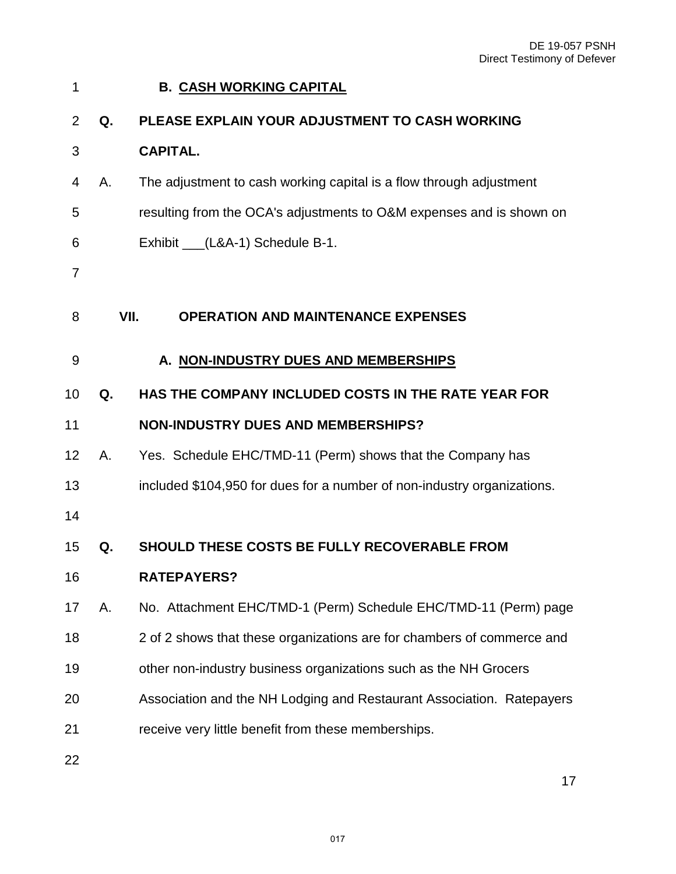<span id="page-16-2"></span><span id="page-16-1"></span><span id="page-16-0"></span>

| 1              |    | <b>B. CASH WORKING CAPITAL</b>                                          |
|----------------|----|-------------------------------------------------------------------------|
| $\overline{2}$ | Q. | PLEASE EXPLAIN YOUR ADJUSTMENT TO CASH WORKING                          |
| 3              |    | <b>CAPITAL.</b>                                                         |
| 4              | А. | The adjustment to cash working capital is a flow through adjustment     |
| 5              |    | resulting from the OCA's adjustments to O&M expenses and is shown on    |
| 6              |    | Exhibit ___(L&A-1) Schedule B-1.                                        |
| 7              |    |                                                                         |
| 8              |    | VII.<br><b>OPERATION AND MAINTENANCE EXPENSES</b>                       |
| 9              |    | A. NON-INDUSTRY DUES AND MEMBERSHIPS                                    |
| 10             | Q. | HAS THE COMPANY INCLUDED COSTS IN THE RATE YEAR FOR                     |
| 11             |    | <b>NON-INDUSTRY DUES AND MEMBERSHIPS?</b>                               |
| 12             | А. | Yes. Schedule EHC/TMD-11 (Perm) shows that the Company has              |
| 13             |    | included \$104,950 for dues for a number of non-industry organizations. |
| 14             |    |                                                                         |
| 15             | Q. | SHOULD THESE COSTS BE FULLY RECOVERABLE FROM                            |
| 16             |    | <b>RATEPAYERS?</b>                                                      |
| 17             | А. | No. Attachment EHC/TMD-1 (Perm) Schedule EHC/TMD-11 (Perm) page         |
| 18             |    | 2 of 2 shows that these organizations are for chambers of commerce and  |
| 19             |    | other non-industry business organizations such as the NH Grocers        |
| 20             |    | Association and the NH Lodging and Restaurant Association. Ratepayers   |
| 21             |    | receive very little benefit from these memberships.                     |
| 22             |    |                                                                         |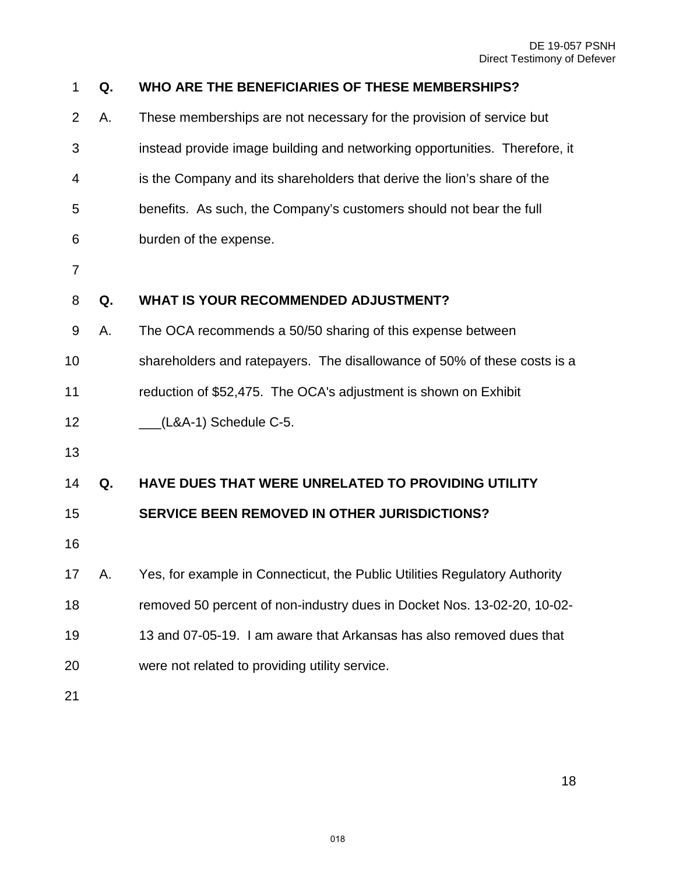DE 19-057 PSNH Direct Testimony of Defever

| 1              | Q. | WHO ARE THE BENEFICIARIES OF THESE MEMBERSHIPS?                            |
|----------------|----|----------------------------------------------------------------------------|
| $\overline{2}$ | А. | These memberships are not necessary for the provision of service but       |
| 3              |    | instead provide image building and networking opportunities. Therefore, it |
| 4              |    | is the Company and its shareholders that derive the lion's share of the    |
| 5              |    | benefits. As such, the Company's customers should not bear the full        |
| 6              |    | burden of the expense.                                                     |
| $\overline{7}$ |    |                                                                            |
| 8              | Q. | <b>WHAT IS YOUR RECOMMENDED ADJUSTMENT?</b>                                |
| 9              | Α. | The OCA recommends a 50/50 sharing of this expense between                 |
| 10             |    | shareholders and ratepayers. The disallowance of 50% of these costs is a   |
| 11             |    | reduction of \$52,475. The OCA's adjustment is shown on Exhibit            |
| 12             |    | $(L&A-1)$ Schedule C-5.                                                    |
| 13             |    |                                                                            |
| 14             | Q. | HAVE DUES THAT WERE UNRELATED TO PROVIDING UTILITY                         |
| 15             |    | <b>SERVICE BEEN REMOVED IN OTHER JURISDICTIONS?</b>                        |
| 16             |    |                                                                            |
| 17             | А. | Yes, for example in Connecticut, the Public Utilities Regulatory Authority |
| 18             |    | removed 50 percent of non-industry dues in Docket Nos. 13-02-20, 10-02-    |
| 19             |    | 13 and 07-05-19. I am aware that Arkansas has also removed dues that       |
| 20             |    | were not related to providing utility service.                             |
| 21             |    |                                                                            |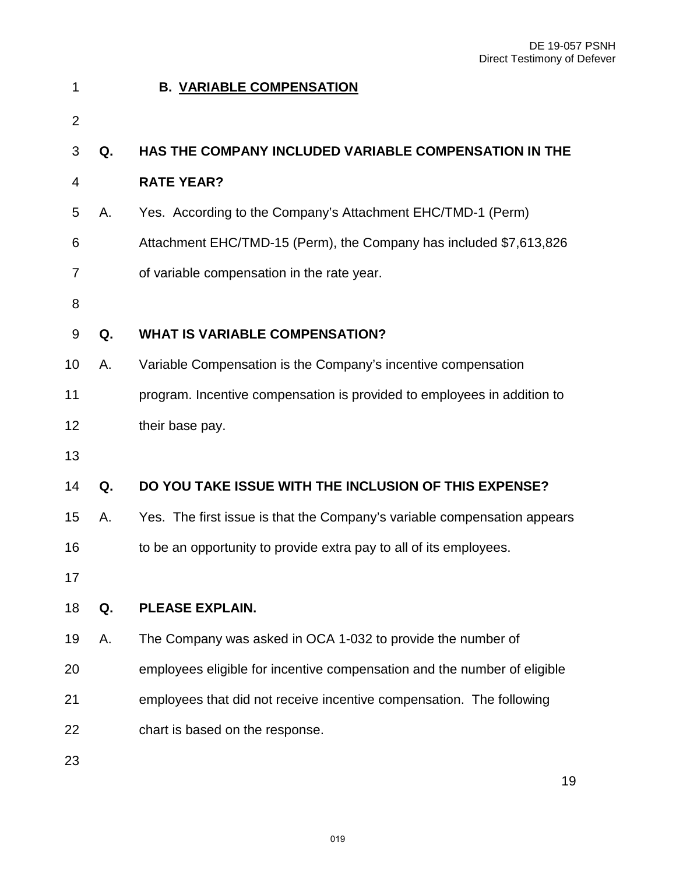<span id="page-18-0"></span>

| 1              |    | <b>B. VARIABLE COMPENSATION</b>                                          |
|----------------|----|--------------------------------------------------------------------------|
| $\overline{2}$ |    |                                                                          |
| 3              | Q. | <b>HAS THE COMPANY INCLUDED VARIABLE COMPENSATION IN THE</b>             |
| 4              |    | <b>RATE YEAR?</b>                                                        |
| 5              | А. | Yes. According to the Company's Attachment EHC/TMD-1 (Perm)              |
| 6              |    | Attachment EHC/TMD-15 (Perm), the Company has included \$7,613,826       |
| 7              |    | of variable compensation in the rate year.                               |
| 8              |    |                                                                          |
| 9              | Q. | <b>WHAT IS VARIABLE COMPENSATION?</b>                                    |
| 10             | Α. | Variable Compensation is the Company's incentive compensation            |
| 11             |    | program. Incentive compensation is provided to employees in addition to  |
| 12             |    | their base pay.                                                          |
| 13             |    |                                                                          |
| 14             | Q. | DO YOU TAKE ISSUE WITH THE INCLUSION OF THIS EXPENSE?                    |
| 15             | А. | Yes. The first issue is that the Company's variable compensation appears |
| 16             |    | to be an opportunity to provide extra pay to all of its employees.       |
| 17             |    |                                                                          |
| 18             | Q. | PLEASE EXPLAIN.                                                          |
| 19             | Α. | The Company was asked in OCA 1-032 to provide the number of              |
| 20             |    | employees eligible for incentive compensation and the number of eligible |
| 21             |    | employees that did not receive incentive compensation. The following     |
| 22             |    | chart is based on the response.                                          |
| 23             |    |                                                                          |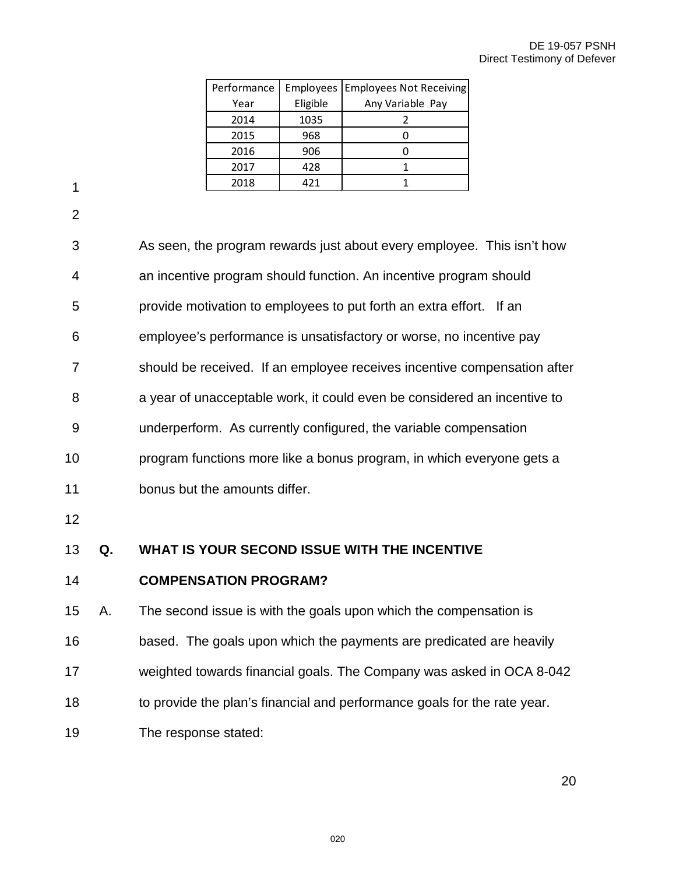| Performance |          | Employees   Employees Not Receiving |
|-------------|----------|-------------------------------------|
| Year        | Eligible | Any Variable Pay                    |
| 2014        | 1035     |                                     |
| 2015        | 968      |                                     |
| 2016        | 906      |                                     |
| 2017        | 428      |                                     |
| 2018        | 421      |                                     |

2

| 13 | Q. | WHAT IS YOUR SECOND ISSUE WITH THE INCENTIVE                             |
|----|----|--------------------------------------------------------------------------|
| 12 |    |                                                                          |
| 11 |    | bonus but the amounts differ.                                            |
| 10 |    | program functions more like a bonus program, in which everyone gets a    |
| 9  |    | underperform. As currently configured, the variable compensation         |
| 8  |    | a year of unacceptable work, it could even be considered an incentive to |
| 7  |    | should be received. If an employee receives incentive compensation after |
| 6  |    | employee's performance is unsatisfactory or worse, no incentive pay      |
| 5  |    | provide motivation to employees to put forth an extra effort. If an      |
| 4  |    | an incentive program should function. An incentive program should        |
| 3  |    | As seen, the program rewards just about every employee. This isn't how   |
|    |    |                                                                          |

14 **COMPENSATION PROGRAM?** 

 A. The second issue is with the goals upon which the compensation is based. The goals upon which the payments are predicated are heavily weighted towards financial goals. The Company was asked in OCA 8-042 to provide the plan's financial and performance goals for the rate year. The response stated: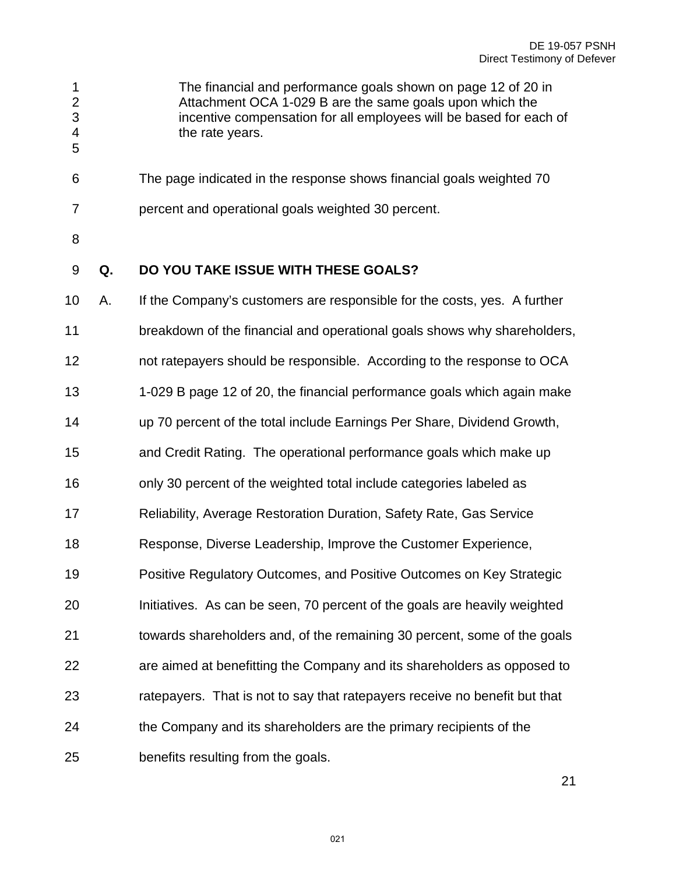3 incentive compensation for all employees will be based for each of 4 the rate years. 

6 The page indicated in the response shows financial goals weighted 70

1 The financial and performance goals shown on page 12 of 20 in 2 Attachment OCA 1-029 B are the same goals upon which the

- 7 percent and operational goals weighted 30 percent.
- 
- **Q. DO YOU TAKE ISSUE WITH THESE GOALS?**

 A. If the Company's customers are responsible for the costs, yes. A further breakdown of the financial and operational goals shows why shareholders, not ratepayers should be responsible. According to the response to OCA 1-029 B page 12 of 20, the financial performance goals which again make up 70 percent of the total include Earnings Per Share, Dividend Growth, and Credit Rating. The operational performance goals which make up only 30 percent of the weighted total include categories labeled as Reliability, Average Restoration Duration, Safety Rate, Gas Service Response, Diverse Leadership, Improve the Customer Experience, Positive Regulatory Outcomes, and Positive Outcomes on Key Strategic Initiatives. As can be seen, 70 percent of the goals are heavily weighted towards shareholders and, of the remaining 30 percent, some of the goals are aimed at benefitting the Company and its shareholders as opposed to ratepayers. That is not to say that ratepayers receive no benefit but that the Company and its shareholders are the primary recipients of the benefits resulting from the goals.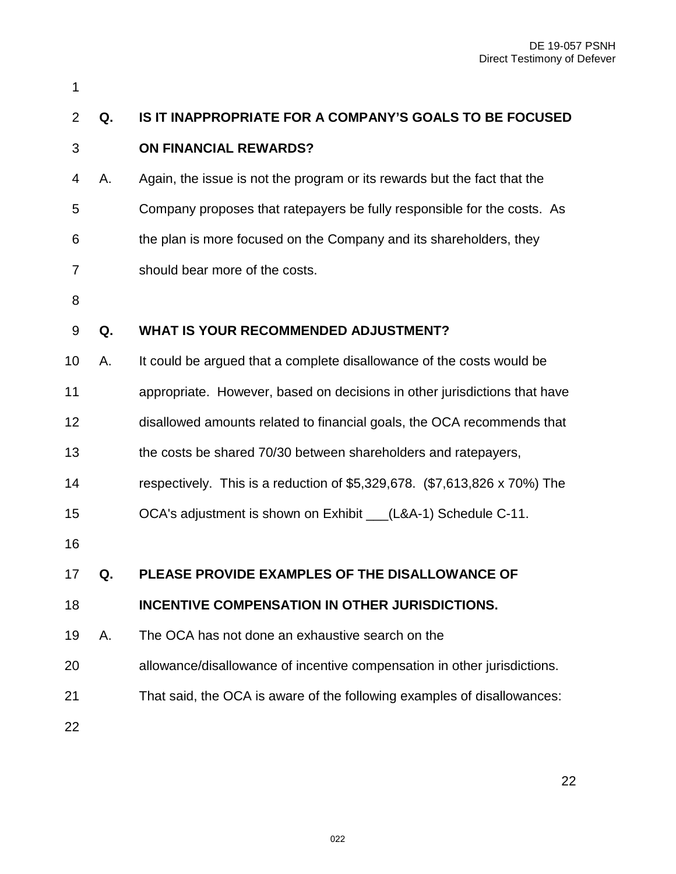| 1              |    |                                                                           |
|----------------|----|---------------------------------------------------------------------------|
| $\overline{2}$ | Q. | IS IT INAPPROPRIATE FOR A COMPANY'S GOALS TO BE FOCUSED                   |
| 3              |    | <b>ON FINANCIAL REWARDS?</b>                                              |
| 4              | А. | Again, the issue is not the program or its rewards but the fact that the  |
| 5              |    | Company proposes that ratepayers be fully responsible for the costs. As   |
| 6              |    | the plan is more focused on the Company and its shareholders, they        |
| 7              |    | should bear more of the costs.                                            |
| 8              |    |                                                                           |
| 9              | Q. | WHAT IS YOUR RECOMMENDED ADJUSTMENT?                                      |
| 10             | Α. | It could be argued that a complete disallowance of the costs would be     |
| 11             |    | appropriate. However, based on decisions in other jurisdictions that have |
| 12             |    | disallowed amounts related to financial goals, the OCA recommends that    |
| 13             |    | the costs be shared 70/30 between shareholders and ratepayers,            |
| 14             |    | respectively. This is a reduction of \$5,329,678. (\$7,613,826 x 70%) The |
| 15             |    | OCA's adjustment is shown on Exhibit __(L&A-1) Schedule C-11.             |
| 16             |    |                                                                           |
| 17             | Q. | PLEASE PROVIDE EXAMPLES OF THE DISALLOWANCE OF                            |
| 18             |    | <b>INCENTIVE COMPENSATION IN OTHER JURISDICTIONS.</b>                     |
| 19             | Α. | The OCA has not done an exhaustive search on the                          |
| 20             |    | allowance/disallowance of incentive compensation in other jurisdictions.  |
| 21             |    | That said, the OCA is aware of the following examples of disallowances:   |
| 22             |    |                                                                           |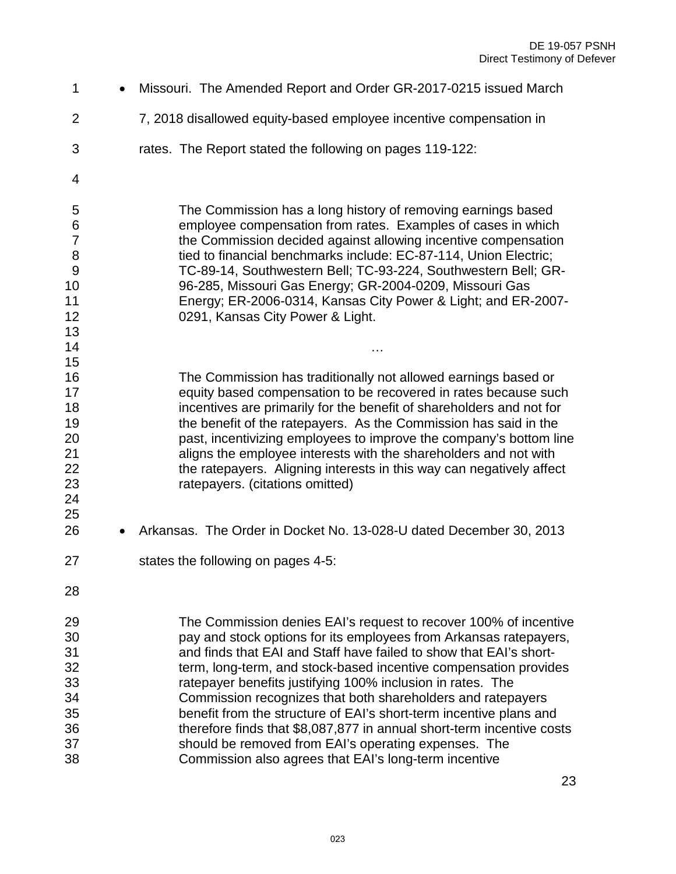1 • Missouri. The Amended Report and Order GR-2017-0215 issued March 2 7, 2018 disallowed equity-based employee incentive compensation in 3 rates. The Report stated the following on pages 119-122: 5 The Commission has a long history of removing earnings based 6 employee compensation from rates. Examples of cases in which 7 the Commission decided against allowing incentive compensation 8 tied to financial benchmarks include: EC-87-114, Union Electric; 9 TC-89-14, Southwestern Bell; TC-93-224, Southwestern Bell; GR- 96-285, Missouri Gas Energy; GR-2004-0209, Missouri Gas Energy; ER-2006-0314, Kansas City Power & Light; and ER-2007- 0291, Kansas City Power & Light. … The Commission has traditionally not allowed earnings based or equity based compensation to be recovered in rates because such incentives are primarily for the benefit of shareholders and not for the benefit of the ratepayers. As the Commission has said in the 20 **20** past, incentivizing employees to improve the company's bottom line<br>21 **parameters** aligns the employee interests with the shareholders and not with aligns the employee interests with the shareholders and not with 22 the ratepayers. Aligning interests in this way can negatively affect ratepayers. (citations omitted) • Arkansas. The Order in Docket No. 13-028-U dated December 30, 2013 states the following on pages 4-5: The Commission denies EAI's request to recover 100% of incentive pay and stock options for its employees from Arkansas ratepayers, and finds that EAI and Staff have failed to show that EAI's short- term, long-term, and stock-based incentive compensation provides ratepayer benefits justifying 100% inclusion in rates. The Commission recognizes that both shareholders and ratepayers benefit from the structure of EAI's short-term incentive plans and therefore finds that \$8,087,877 in annual short-term incentive costs should be removed from EAI's operating expenses. The Commission also agrees that EAI's long-term incentive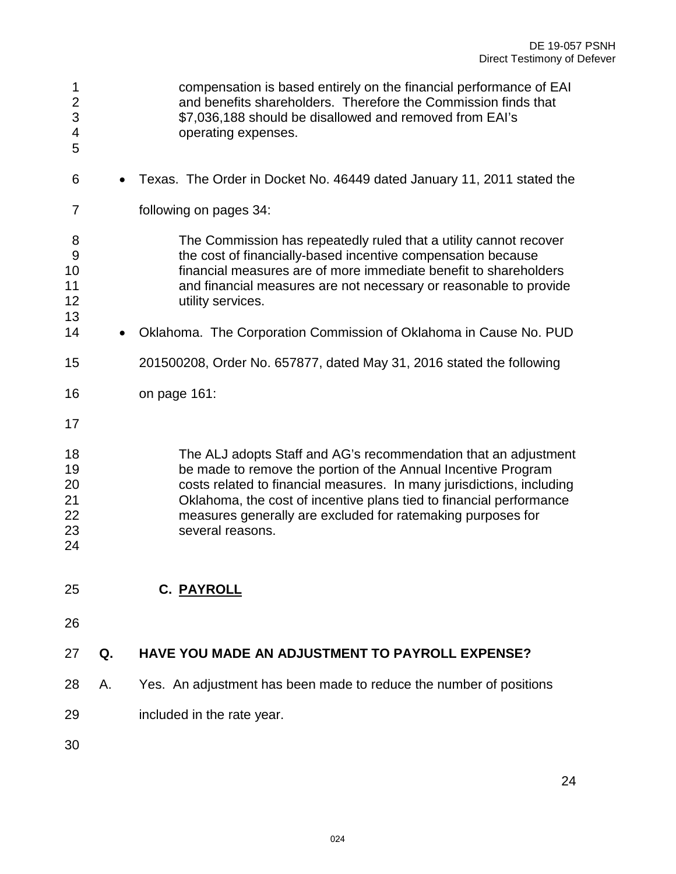<span id="page-23-0"></span>1 compensation is based entirely on the financial performance of EAI 2 and benefits shareholders. Therefore the Commission finds that 3 \$7,036,188 should be disallowed and removed from EAI's 4 operating expenses. • Texas. The Order in Docket No. 46449 dated January 11, 2011 stated the 7 following on pages 34: 8 The Commission has repeatedly ruled that a utility cannot recover 9 the cost of financially-based incentive compensation because financial measures are of more immediate benefit to shareholders and financial measures are not necessary or reasonable to provide utility services. 14 • Oklahoma. The Corporation Commission of Oklahoma in Cause No. PUD 201500208, Order No. 657877, dated May 31, 2016 stated the following on page 161: The ALJ adopts Staff and AG's recommendation that an adjustment be made to remove the portion of the Annual Incentive Program costs related to financial measures. In many jurisdictions, including Oklahoma, the cost of incentive plans tied to financial performance measures generally are excluded for ratemaking purposes for several reasons. **C. PAYROLL Q. HAVE YOU MADE AN ADJUSTMENT TO PAYROLL EXPENSE?**  A. Yes. An adjustment has been made to reduce the number of positions included in the rate year.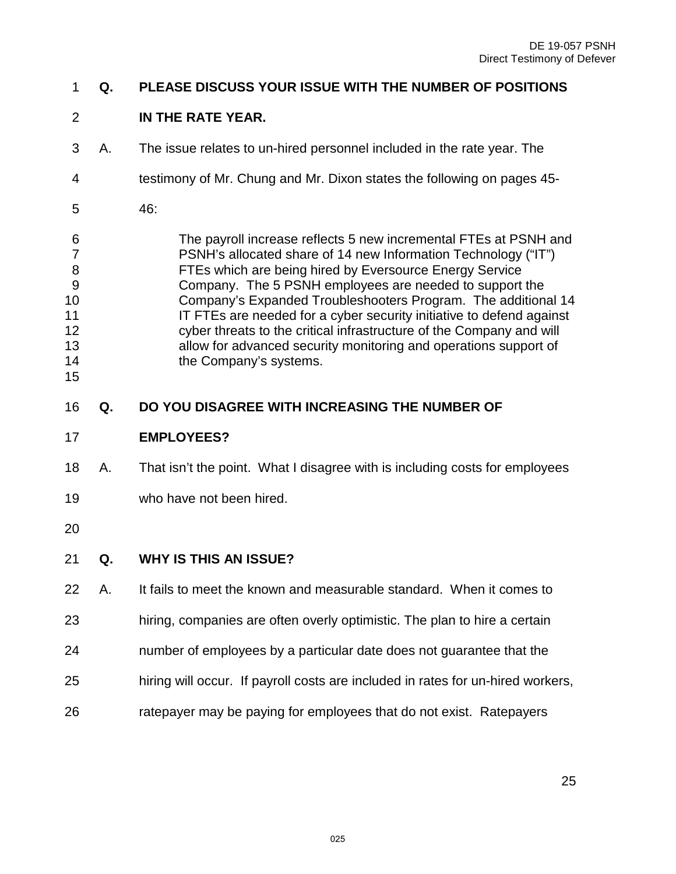#### **Q. PLEASE DISCUSS YOUR ISSUE WITH THE NUMBER OF POSITIONS**

### **IN THE RATE YEAR.**

- 3 A. The issue relates to un-hired personnel included in the rate year. The
- 4 testimony of Mr. Chung and Mr. Dixon states the following on pages 45-
- 5 46:

6 The payroll increase reflects 5 new incremental FTEs at PSNH and 7 PSNH's allocated share of 14 new Information Technology ("IT") 8 FTEs which are being hired by Eversource Energy Service 9 Company. The 5 PSNH employees are needed to support the Company's Expanded Troubleshooters Program. The additional 14 **IT FTEs are needed for a cyber security initiative to defend against**  cyber threats to the critical infrastructure of the Company and will allow for advanced security monitoring and operations support of 14 the Company's systems. 

- **Q. DO YOU DISAGREE WITH INCREASING THE NUMBER OF**
- **EMPLOYEES?**
- A. That isn't the point. What I disagree with is including costs for employees
- who have not been hired.
- 

# **Q. WHY IS THIS AN ISSUE?**

- A. It fails to meet the known and measurable standard. When it comes to
- hiring, companies are often overly optimistic. The plan to hire a certain
- number of employees by a particular date does not guarantee that the
- hiring will occur. If payroll costs are included in rates for un-hired workers,
- ratepayer may be paying for employees that do not exist. Ratepayers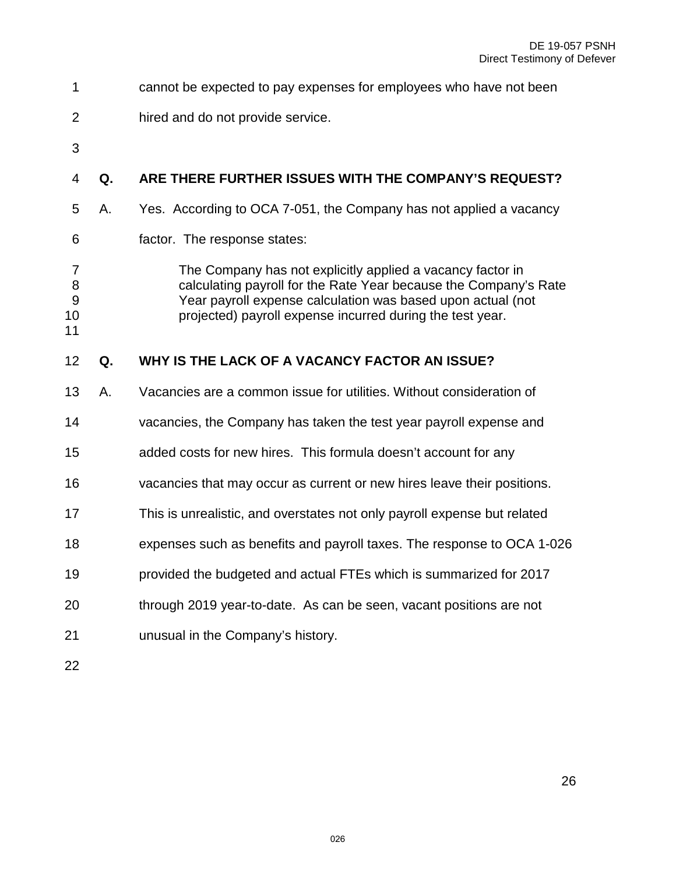| 1                                                   |    | cannot be expected to pay expenses for employees who have not been                                                                                                                                                                                         |
|-----------------------------------------------------|----|------------------------------------------------------------------------------------------------------------------------------------------------------------------------------------------------------------------------------------------------------------|
| $\overline{2}$                                      |    | hired and do not provide service.                                                                                                                                                                                                                          |
| 3                                                   |    |                                                                                                                                                                                                                                                            |
| 4                                                   | Q. | ARE THERE FURTHER ISSUES WITH THE COMPANY'S REQUEST?                                                                                                                                                                                                       |
| 5                                                   | А. | Yes. According to OCA 7-051, the Company has not applied a vacancy                                                                                                                                                                                         |
| 6                                                   |    | factor. The response states:                                                                                                                                                                                                                               |
| $\overline{7}$<br>8<br>$\boldsymbol{9}$<br>10<br>11 |    | The Company has not explicitly applied a vacancy factor in<br>calculating payroll for the Rate Year because the Company's Rate<br>Year payroll expense calculation was based upon actual (not<br>projected) payroll expense incurred during the test year. |
| 12                                                  | Q. | WHY IS THE LACK OF A VACANCY FACTOR AN ISSUE?                                                                                                                                                                                                              |
| 13                                                  | А. | Vacancies are a common issue for utilities. Without consideration of                                                                                                                                                                                       |
| 14                                                  |    | vacancies, the Company has taken the test year payroll expense and                                                                                                                                                                                         |
| 15                                                  |    | added costs for new hires. This formula doesn't account for any                                                                                                                                                                                            |
| 16                                                  |    | vacancies that may occur as current or new hires leave their positions.                                                                                                                                                                                    |
| 17                                                  |    | This is unrealistic, and overstates not only payroll expense but related                                                                                                                                                                                   |
| 18                                                  |    | expenses such as benefits and payroll taxes. The response to OCA 1-026                                                                                                                                                                                     |
| 19                                                  |    | provided the budgeted and actual FTEs which is summarized for 2017                                                                                                                                                                                         |
| 20                                                  |    | through 2019 year-to-date. As can be seen, vacant positions are not                                                                                                                                                                                        |
| 21                                                  |    |                                                                                                                                                                                                                                                            |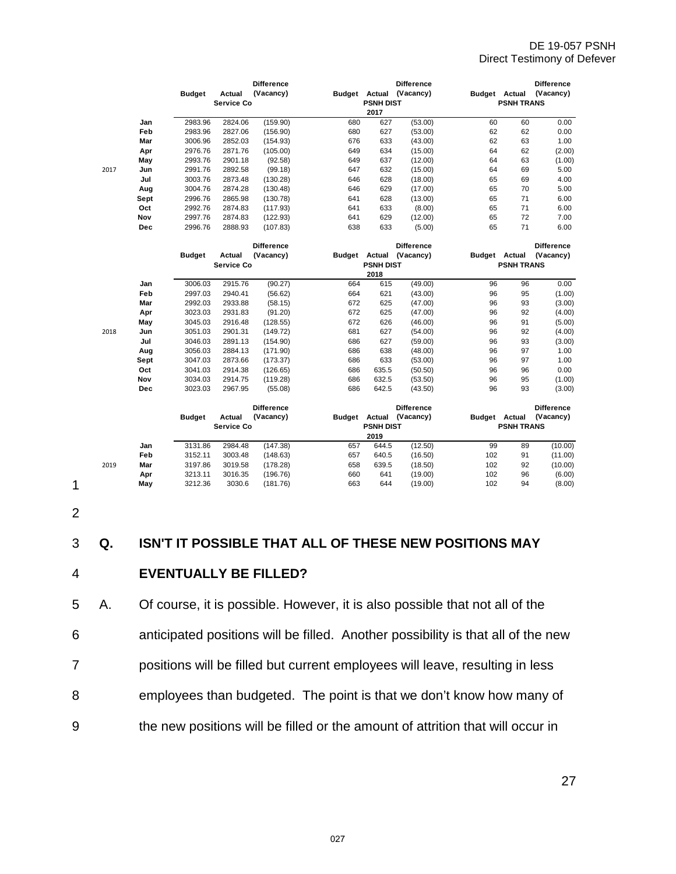|      |            |               |            | <b>Difference</b> |     |                      | <b>Difference</b>       |                      |                   | <b>Difference</b> |
|------|------------|---------------|------------|-------------------|-----|----------------------|-------------------------|----------------------|-------------------|-------------------|
|      |            | <b>Budget</b> | Actual     | (Vacancy)         |     |                      | Budget Actual (Vacancy) | Budget Actual        |                   | (Vacancy)         |
|      |            |               | Service Co |                   |     | <b>PSNH DIST</b>     |                         |                      | <b>PSNH TRANS</b> |                   |
|      |            |               |            |                   |     | 2017                 |                         |                      |                   |                   |
|      | Jan        | 2983.96       | 2824.06    | (159.90)          | 680 | 627                  | (53.00)                 | 60                   | 60                | 0.00              |
|      | Feb        | 2983.96       | 2827.06    | (156.90)          | 680 | 627                  | (53.00)                 | 62                   | 62                | 0.00              |
|      | Mar        | 3006.96       | 2852.03    | (154.93)          | 676 | 633                  | (43.00)                 | 62                   | 63                | 1.00              |
|      | Apr        | 2976.76       | 2871.76    | (105.00)          | 649 | 634                  | (15.00)                 | 64                   | 62                | (2.00)            |
|      | May        | 2993.76       | 2901.18    | (92.58)           | 649 | 637                  | (12.00)                 | 64                   | 63                | (1.00)            |
| 2017 | Jun        | 2991.76       | 2892.58    | (99.18)           | 647 | 632                  | (15.00)                 | 64                   | 69                | 5.00              |
|      | Jul        | 3003.76       | 2873.48    | (130.28)          | 646 | 628                  | (18.00)                 | 65                   | 69                | 4.00              |
|      | Aug        | 3004.76       | 2874.28    | (130.48)          | 646 | 629                  | (17.00)                 | 65                   | 70                | 5.00              |
|      | Sept       | 2996.76       | 2865.98    | (130.78)          | 641 | 628                  | (13.00)                 | 65                   | 71                | 6.00              |
|      | Oct        | 2992.76       | 2874.83    | (117.93)          | 641 | 633                  | (8.00)                  | 65                   | 71                | 6.00              |
|      | Nov        | 2997.76       | 2874.83    | (122.93)          | 641 | 629                  | (12.00)                 | 65                   | 72                | 7.00              |
|      | Dec        | 2996.76       | 2888.93    | (107.83)          | 638 | 633                  | (5.00)                  | 65                   | 71                | 6.00              |
|      |            |               |            | <b>Difference</b> |     |                      | <b>Difference</b>       |                      |                   | <b>Difference</b> |
|      |            | <b>Budget</b> | Actual     | (Vacancy)         |     |                      | Budget Actual (Vacancy) | Budget Actual        |                   | (Vacancy)         |
|      |            |               | Service Co |                   |     | <b>PSNH DIST</b>     |                         |                      | <b>PSNH TRANS</b> |                   |
|      |            |               |            |                   |     | 2018                 |                         |                      |                   |                   |
|      | Jan        | 3006.03       | 2915.76    | (90.27)           | 664 | 615                  | (49.00)                 | 96                   | 96                | 0.00              |
|      | Feb        | 2997.03       | 2940.41    | (56.62)           | 664 | 621                  | (43.00)                 | 96                   | 95                | (1.00)            |
|      | Mar        | 2992.03       | 2933.88    | (58.15)           | 672 | 625                  | (47.00)                 | 96                   | 93                | (3.00)            |
|      | Apr        | 3023.03       | 2931.83    | (91.20)           | 672 | 625                  | (47.00)                 | 96                   | 92                | (4.00)            |
|      | May        | 3045.03       | 2916.48    | (128.55)          | 672 | 626                  | (46.00)                 | 96                   | 91                | (5.00)            |
| 2018 | Jun        | 3051.03       | 2901.31    | (149.72)          | 681 | 627                  | (54.00)                 | 96                   | 92                | (4.00)            |
|      | Jul        | 3046.03       | 2891.13    | (154.90)          | 686 | 627                  | (59.00)                 | 96                   | 93                | (3.00)            |
|      | Aug        | 3056.03       | 2884.13    | (171.90)          | 686 | 638                  | (48.00)                 | 96                   | 97                | 1.00              |
|      | Sept       | 3047.03       | 2873.66    | (173.37)          | 686 | 633                  | (53.00)                 | 96                   | 97                | 1.00              |
|      | Oct        | 3041.03       | 2914.38    | (126.65)          | 686 | 635.5                | (50.50)                 | 96                   | 96                | 0.00              |
|      | Nov        | 3034.03       | 2914.75    | (119.28)          | 686 | 632.5                | (53.50)                 | 96                   | 95                | (1.00)            |
|      | <b>Dec</b> | 3023.03       | 2967.95    | (55.08)           | 686 | 642.5                | (43.50)                 | 96                   | 93                | (3.00)            |
|      |            |               |            | <b>Difference</b> |     |                      | <b>Difference</b>       |                      |                   | <b>Difference</b> |
|      |            | <b>Budget</b> | Actual     | (Vacancy)         |     | <b>Budget Actual</b> | (Vacancy)               | <b>Budget Actual</b> |                   | (Vacancy)         |
|      |            |               | Service Co |                   |     | <b>PSNH DIST</b>     |                         |                      | <b>PSNH TRANS</b> |                   |
|      |            |               |            |                   |     | 2019                 |                         |                      |                   |                   |
|      | Jan        | 3131.86       | 2984.48    | (147.38)          | 657 | 644.5                | (12.50)                 | 99                   | 89                | (10.00)           |
|      | Feb        | 3152.11       | 3003.48    | (148.63)          | 657 | 640.5                | (16.50)                 | 102                  | 91                | (11.00)           |
| 2019 | Mar        | 3197.86       | 3019.58    | (178.28)          | 658 | 639.5                | (18.50)                 | 102                  | 92                | (10.00)           |
|      | Apr        | 3213.11       | 3016.35    | (196.76)          | 660 | 641                  | (19.00)                 | 102                  | 96                | (6.00)            |
|      | May        | 3212.36       | 3030.6     | (181.76)          | 663 | 644                  | (19.00)                 | 102                  | 94                | (8.00)            |

2

#### 3 **Q. ISN'T IT POSSIBLE THAT ALL OF THESE NEW POSITIONS MAY**

#### 4 **EVENTUALLY BE FILLED?**

5 A. Of course, it is possible. However, it is also possible that not all of the 6 anticipated positions will be filled. Another possibility is that all of the new 7 positions will be filled but current employees will leave, resulting in less 8 employees than budgeted. The point is that we don't know how many of 9 the new positions will be filled or the amount of attrition that will occur in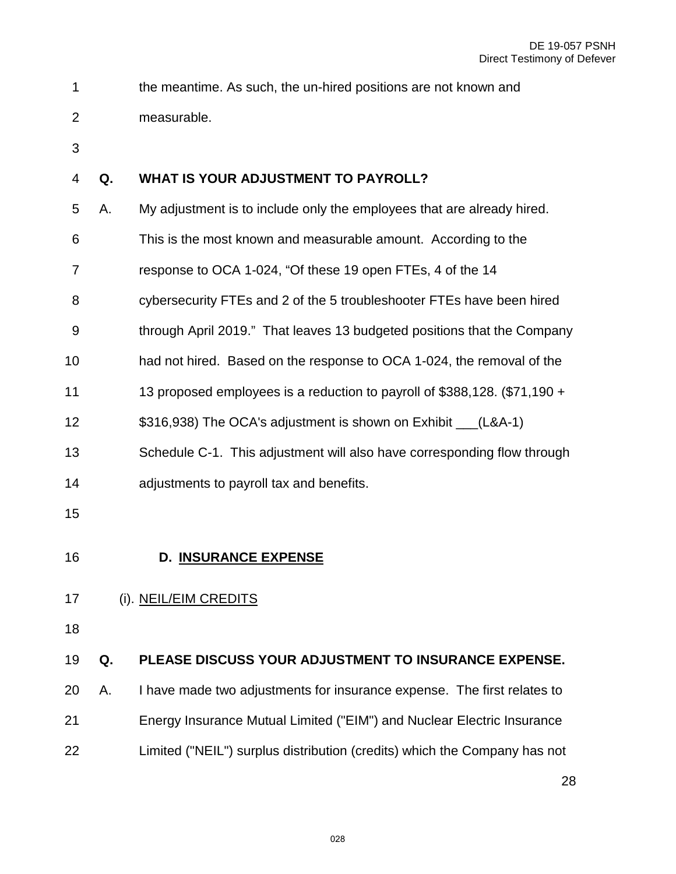- 1 the meantime. As such, the un-hired positions are not known and
- 2 measurable.
- 

# **Q. WHAT IS YOUR ADJUSTMENT TO PAYROLL?**

- 5 A. My adjustment is to include only the employees that are already hired.
- 6 This is the most known and measurable amount. According to the
- 7 response to OCA 1-024, "Of these 19 open FTEs, 4 of the 14
- 8 cybersecurity FTEs and 2 of the 5 troubleshooter FTEs have been hired
- 9 through April 2019." That leaves 13 budgeted positions that the Company
- had not hired. Based on the response to OCA 1-024, the removal of the
- 13 proposed employees is a reduction to payroll of \$388,128. (\$71,190 +
- \$316,938) The OCA's adjustment is shown on Exhibit \_\_\_(L&A-1)
- Schedule C-1. This adjustment will also have corresponding flow through
- adjustments to payroll tax and benefits.
- 
- <span id="page-27-0"></span>

# **D. INSURANCE EXPENSE**

#### <span id="page-27-1"></span>(i). NEIL/EIM CREDITS

#### **Q. PLEASE DISCUSS YOUR ADJUSTMENT TO INSURANCE EXPENSE.**

 A. I have made two adjustments for insurance expense. The first relates to Energy Insurance Mutual Limited ("EIM") and Nuclear Electric Insurance Limited ("NEIL") surplus distribution (credits) which the Company has not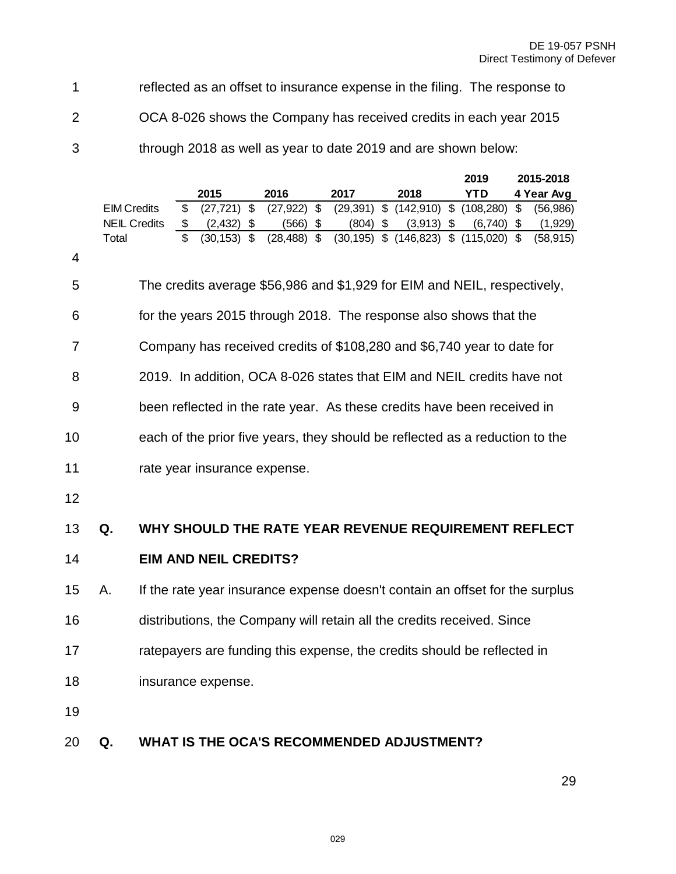1 reflected as an offset to insurance expense in the filing. The response to

2 OCA 8-026 shows the Company has received credits in each year 2015

3 through 2018 as well as year to date 2019 and are shown below:

|    |                     |                         |                              |               |                              |                |            |                                                                              |                | 2019       |                           | 2015-2018  |
|----|---------------------|-------------------------|------------------------------|---------------|------------------------------|----------------|------------|------------------------------------------------------------------------------|----------------|------------|---------------------------|------------|
|    |                     |                         | 2015                         |               | 2016                         |                | 2017       | 2018                                                                         |                | <b>YTD</b> |                           | 4 Year Avg |
|    | <b>EIM Credits</b>  | \$                      | (27, 721)                    | $\mathsf{\$}$ | (27, 922)                    | $\mathfrak{S}$ |            | $(29,391)$ \$ $(142,910)$                                                    | $\mathfrak{S}$ | (108, 280) | $\mathbb{S}$              | (56,986)   |
|    | <b>NEIL Credits</b> | \$                      | (2, 432)                     | \$            | (566)                        | \$             | $(804)$ \$ | $(3,913)$ \$                                                                 |                | (6,740)    | $\boldsymbol{\mathsf{S}}$ | (1,929)    |
|    | Total               | $\overline{\mathbb{S}}$ | $(30, 153)$ \$               |               | $(28, 488)$ \$               |                |            | $(30, 195)$ \$ $(146, 823)$ \$ $(115, 020)$ \$                               |                |            |                           | (58, 915)  |
| 4  |                     |                         |                              |               |                              |                |            |                                                                              |                |            |                           |            |
| 5  |                     |                         |                              |               |                              |                |            | The credits average \$56,986 and \$1,929 for EIM and NEIL, respectively,     |                |            |                           |            |
| 6  |                     |                         |                              |               |                              |                |            | for the years 2015 through 2018. The response also shows that the            |                |            |                           |            |
| 7  |                     |                         |                              |               |                              |                |            | Company has received credits of \$108,280 and \$6,740 year to date for       |                |            |                           |            |
| 8  |                     |                         |                              |               |                              |                |            | 2019. In addition, OCA 8-026 states that EIM and NEIL credits have not       |                |            |                           |            |
| 9  |                     |                         |                              |               |                              |                |            | been reflected in the rate year. As these credits have been received in      |                |            |                           |            |
| 10 |                     |                         |                              |               |                              |                |            | each of the prior five years, they should be reflected as a reduction to the |                |            |                           |            |
| 11 |                     |                         |                              |               | rate year insurance expense. |                |            |                                                                              |                |            |                           |            |
| 12 |                     |                         |                              |               |                              |                |            |                                                                              |                |            |                           |            |
| 13 | Q.                  |                         |                              |               |                              |                |            | WHY SHOULD THE RATE YEAR REVENUE REQUIREMENT REFLECT                         |                |            |                           |            |
| 14 |                     |                         | <b>EIM AND NEIL CREDITS?</b> |               |                              |                |            |                                                                              |                |            |                           |            |
| 15 | А.                  |                         |                              |               |                              |                |            | If the rate year insurance expense doesn't contain an offset for the surplus |                |            |                           |            |
| 16 |                     |                         |                              |               |                              |                |            | distributions, the Company will retain all the credits received. Since       |                |            |                           |            |
| 17 |                     |                         |                              |               |                              |                |            | ratepayers are funding this expense, the credits should be reflected in      |                |            |                           |            |
| 18 |                     |                         | insurance expense.           |               |                              |                |            |                                                                              |                |            |                           |            |
| 19 |                     |                         |                              |               |                              |                |            |                                                                              |                |            |                           |            |
| 20 | Q.                  |                         |                              |               |                              |                |            | WHAT IS THE OCA'S RECOMMENDED ADJUSTMENT?                                    |                |            |                           |            |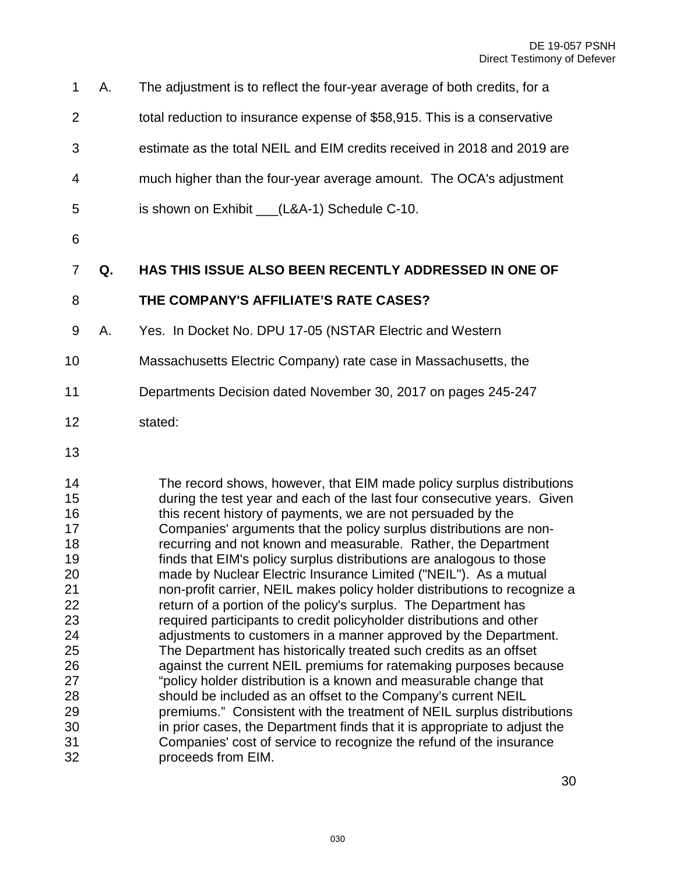- 1 A. The adjustment is to reflect the four-year average of both credits, for a 2 total reduction to insurance expense of \$58,915. This is a conservative 3 estimate as the total NEIL and EIM credits received in 2018 and 2019 are 4 much higher than the four-year average amount. The OCA's adjustment 5 is shown on Exhibit (L&A-1) Schedule C-10. **Q. HAS THIS ISSUE ALSO BEEN RECENTLY ADDRESSED IN ONE OF THE COMPANY'S AFFILIATE'S RATE CASES?** 9 A. Yes. In Docket No. DPU 17-05 (NSTAR Electric and Western Massachusetts Electric Company) rate case in Massachusetts, the Departments Decision dated November 30, 2017 on pages 245-247 stated: The record shows, however, that EIM made policy surplus distributions during the test year and each of the last four consecutive years. Given this recent history of payments, we are not persuaded by the Companies' arguments that the policy surplus distributions are non-recurring and not known and measurable. Rather, the Department
- finds that EIM's policy surplus distributions are analogous to those made by Nuclear Electric Insurance Limited ("NEIL"). As a mutual non-profit carrier, NEIL makes policy holder distributions to recognize a return of a portion of the policy's surplus. The Department has required participants to credit policyholder distributions and other adjustments to customers in a manner approved by the Department. The Department has historically treated such credits as an offset against the current NEIL premiums for ratemaking purposes because "policy holder distribution is a known and measurable change that should be included as an offset to the Company's current NEIL premiums." Consistent with the treatment of NEIL surplus distributions in prior cases, the Department finds that it is appropriate to adjust the Companies' cost of service to recognize the refund of the insurance proceeds from EIM.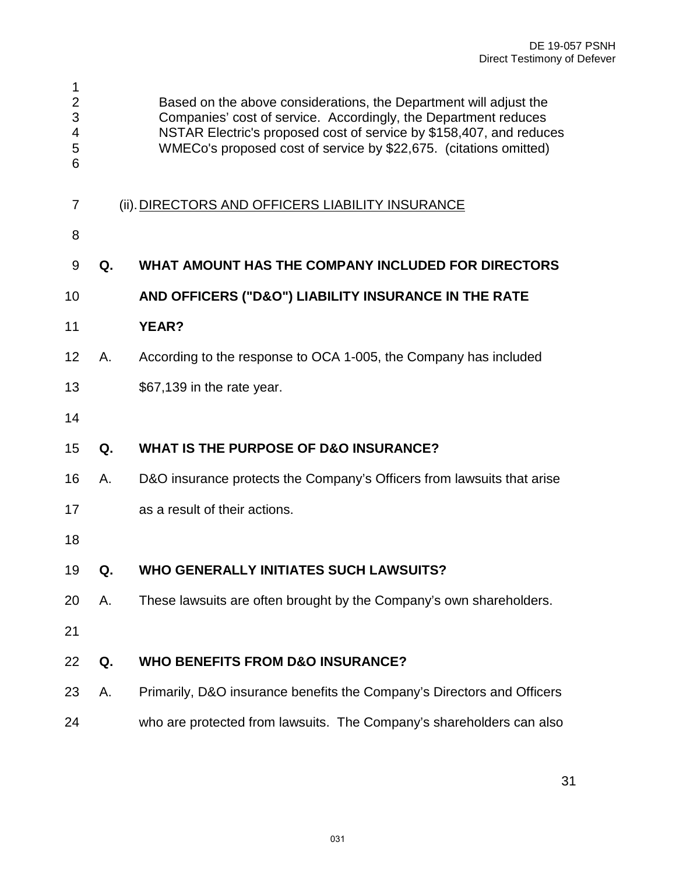<span id="page-30-0"></span>

| 1<br>$\overline{2}$<br>3<br>4<br>5<br>6 |    | Based on the above considerations, the Department will adjust the<br>Companies' cost of service. Accordingly, the Department reduces<br>NSTAR Electric's proposed cost of service by \$158,407, and reduces<br>WMECo's proposed cost of service by \$22,675. (citations omitted) |
|-----------------------------------------|----|----------------------------------------------------------------------------------------------------------------------------------------------------------------------------------------------------------------------------------------------------------------------------------|
| 7                                       |    | (ii). DIRECTORS AND OFFICERS LIABILITY INSURANCE                                                                                                                                                                                                                                 |
| 8                                       |    |                                                                                                                                                                                                                                                                                  |
| 9                                       | Q. | WHAT AMOUNT HAS THE COMPANY INCLUDED FOR DIRECTORS                                                                                                                                                                                                                               |
| 10                                      |    | AND OFFICERS ("D&O") LIABILITY INSURANCE IN THE RATE                                                                                                                                                                                                                             |
| 11                                      |    | <b>YEAR?</b>                                                                                                                                                                                                                                                                     |
| 12                                      | Α. | According to the response to OCA 1-005, the Company has included                                                                                                                                                                                                                 |
| 13                                      |    | \$67,139 in the rate year.                                                                                                                                                                                                                                                       |
| 14                                      |    |                                                                                                                                                                                                                                                                                  |
| 15                                      | Q. | <b>WHAT IS THE PURPOSE OF D&amp;O INSURANCE?</b>                                                                                                                                                                                                                                 |
| 16                                      | Α. | D&O insurance protects the Company's Officers from lawsuits that arise                                                                                                                                                                                                           |
| 17                                      |    | as a result of their actions.                                                                                                                                                                                                                                                    |
| 18                                      |    |                                                                                                                                                                                                                                                                                  |
| 19                                      | Q  | <b>WHO GENERALLY INITIATES SUCH LAWSUITS?</b>                                                                                                                                                                                                                                    |
| 20                                      | Α. | These lawsuits are often brought by the Company's own shareholders.                                                                                                                                                                                                              |
| 21                                      |    |                                                                                                                                                                                                                                                                                  |
| 22                                      | Q. | <b>WHO BENEFITS FROM D&amp;O INSURANCE?</b>                                                                                                                                                                                                                                      |
| 23                                      | А. | Primarily, D&O insurance benefits the Company's Directors and Officers                                                                                                                                                                                                           |
| 24                                      |    | who are protected from lawsuits. The Company's shareholders can also                                                                                                                                                                                                             |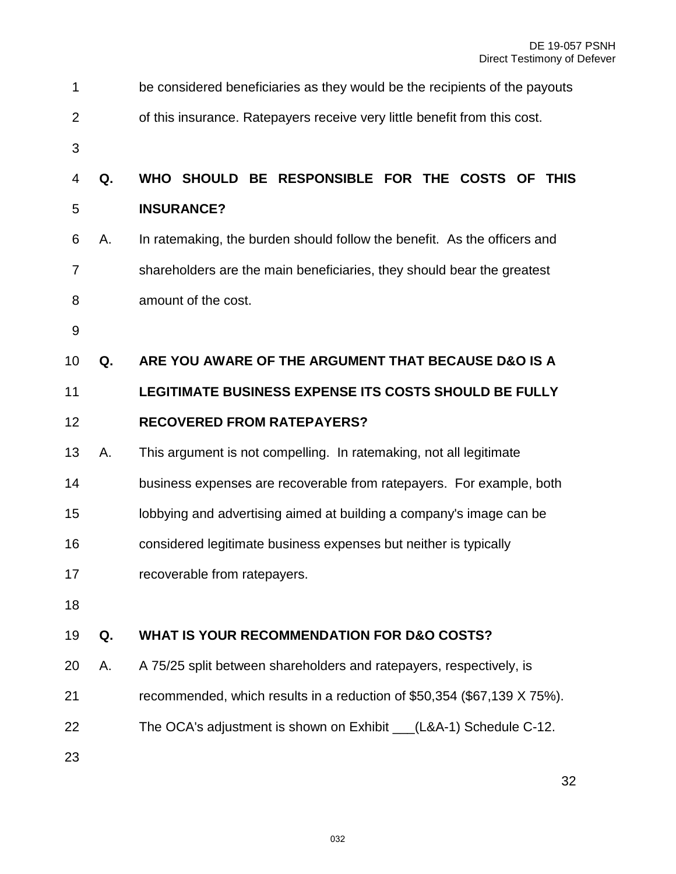| 1  |    | be considered beneficiaries as they would be the recipients of the payouts |
|----|----|----------------------------------------------------------------------------|
| 2  |    | of this insurance. Ratepayers receive very little benefit from this cost.  |
| 3  |    |                                                                            |
| 4  | Q. | WHO SHOULD BE RESPONSIBLE FOR THE COSTS OF THIS                            |
| 5  |    | <b>INSURANCE?</b>                                                          |
| 6  | Α. | In ratemaking, the burden should follow the benefit. As the officers and   |
| 7  |    | shareholders are the main beneficiaries, they should bear the greatest     |
| 8  |    | amount of the cost.                                                        |
| 9  |    |                                                                            |
| 10 | Q. | ARE YOU AWARE OF THE ARGUMENT THAT BECAUSE D&O IS A                        |
| 11 |    | LEGITIMATE BUSINESS EXPENSE ITS COSTS SHOULD BE FULLY                      |
| 12 |    | <b>RECOVERED FROM RATEPAYERS?</b>                                          |
| 13 | А. | This argument is not compelling. In ratemaking, not all legitimate         |
| 14 |    | business expenses are recoverable from ratepayers. For example, both       |
| 15 |    | lobbying and advertising aimed at building a company's image can be        |
| 16 |    | considered legitimate business expenses but neither is typically           |
| 17 |    | recoverable from ratepayers.                                               |
| 18 |    |                                                                            |
| 19 | Q. | <b>WHAT IS YOUR RECOMMENDATION FOR D&amp;O COSTS?</b>                      |
| 20 | А. | A 75/25 split between shareholders and ratepayers, respectively, is        |
| 21 |    | recommended, which results in a reduction of \$50,354 (\$67,139 X 75%).    |
| 22 |    | The OCA's adjustment is shown on Exhibit __(L&A-1) Schedule C-12.          |
| 23 |    |                                                                            |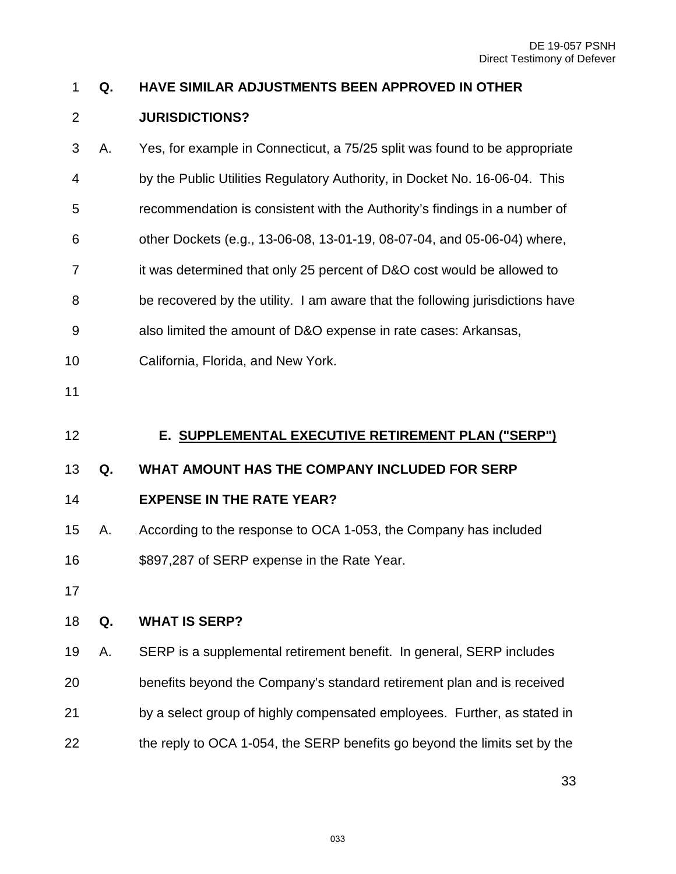# **Q. HAVE SIMILAR ADJUSTMENTS BEEN APPROVED IN OTHER**

# **JURISDICTIONS?**

<span id="page-32-0"></span>

| 3  | Α. | Yes, for example in Connecticut, a 75/25 split was found to be appropriate    |
|----|----|-------------------------------------------------------------------------------|
| 4  |    | by the Public Utilities Regulatory Authority, in Docket No. 16-06-04. This    |
| 5  |    | recommendation is consistent with the Authority's findings in a number of     |
| 6  |    | other Dockets (e.g., 13-06-08, 13-01-19, 08-07-04, and 05-06-04) where,       |
| 7  |    | it was determined that only 25 percent of D&O cost would be allowed to        |
| 8  |    | be recovered by the utility. I am aware that the following jurisdictions have |
| 9  |    | also limited the amount of D&O expense in rate cases: Arkansas,               |
| 10 |    | California, Florida, and New York.                                            |
| 11 |    |                                                                               |
| 12 |    | E. SUPPLEMENTAL EXECUTIVE RETIREMENT PLAN ("SERP")                            |
|    |    |                                                                               |
| 13 | Q. | WHAT AMOUNT HAS THE COMPANY INCLUDED FOR SERP                                 |
| 14 |    | <b>EXPENSE IN THE RATE YEAR?</b>                                              |
| 15 | Α. | According to the response to OCA 1-053, the Company has included              |
| 16 |    | \$897,287 of SERP expense in the Rate Year.                                   |
| 17 |    |                                                                               |
| 18 | Q. | <b>WHAT IS SERP?</b>                                                          |
| 19 | Α. | SERP is a supplemental retirement benefit. In general, SERP includes          |
| 20 |    | benefits beyond the Company's standard retirement plan and is received        |
| 21 |    | by a select group of highly compensated employees. Further, as stated in      |
| 22 |    | the reply to OCA 1-054, the SERP benefits go beyond the limits set by the     |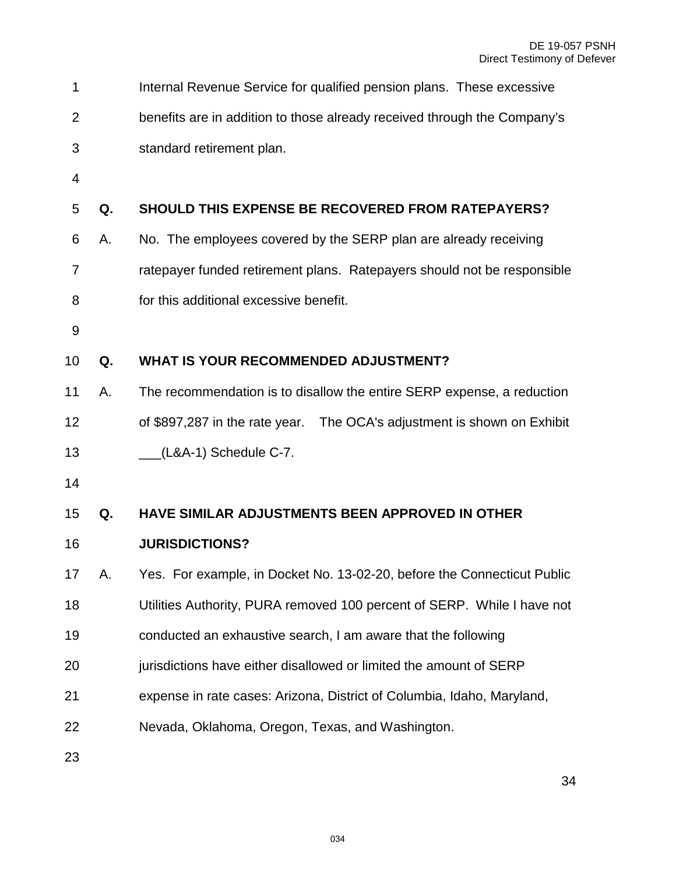| 1              |    | Internal Revenue Service for qualified pension plans. These excessive    |
|----------------|----|--------------------------------------------------------------------------|
| $\overline{2}$ |    | benefits are in addition to those already received through the Company's |
| 3              |    | standard retirement plan.                                                |
| 4              |    |                                                                          |
| 5              | Q. | <b>SHOULD THIS EXPENSE BE RECOVERED FROM RATEPAYERS?</b>                 |
| 6              | Α. | No. The employees covered by the SERP plan are already receiving         |
| 7              |    | ratepayer funded retirement plans. Ratepayers should not be responsible  |
| 8              |    | for this additional excessive benefit.                                   |
| 9              |    |                                                                          |
| 10             | Q. | <b>WHAT IS YOUR RECOMMENDED ADJUSTMENT?</b>                              |
| 11             | Α. | The recommendation is to disallow the entire SERP expense, a reduction   |
| 12             |    | of \$897,287 in the rate year.  The OCA's adjustment is shown on Exhibit |
| 13             |    | (L&A-1) Schedule C-7.                                                    |
| 14             |    |                                                                          |
| 15             | Q. | HAVE SIMILAR ADJUSTMENTS BEEN APPROVED IN OTHER                          |
| 16             |    | <b>JURISDICTIONS?</b>                                                    |
| 17             | А. | Yes. For example, in Docket No. 13-02-20, before the Connecticut Public  |
| 18             |    | Utilities Authority, PURA removed 100 percent of SERP. While I have not  |
| 19             |    | conducted an exhaustive search, I am aware that the following            |
| 20             |    | jurisdictions have either disallowed or limited the amount of SERP       |
| 21             |    | expense in rate cases: Arizona, District of Columbia, Idaho, Maryland,   |
| 22             |    | Nevada, Oklahoma, Oregon, Texas, and Washington.                         |
| 23             |    |                                                                          |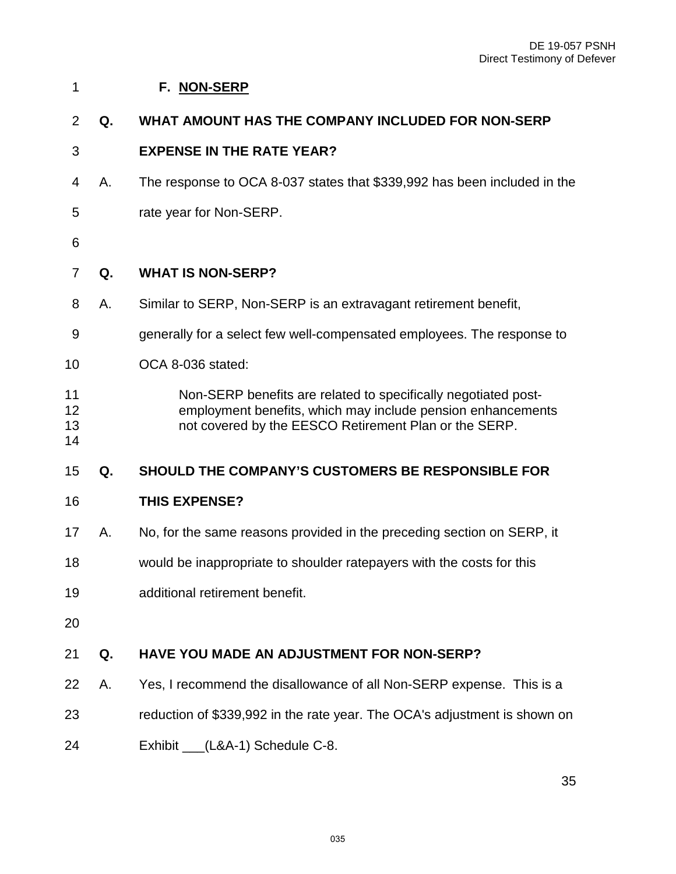#### <span id="page-34-0"></span>**F. NON-SERP**

#### **Q. WHAT AMOUNT HAS THE COMPANY INCLUDED FOR NON-SERP**

#### **EXPENSE IN THE RATE YEAR?**

- 4 A. The response to OCA 8-037 states that \$339,992 has been included in the
- 5 rate year for Non-SERP.
- 

#### **Q. WHAT IS NON-SERP?**

- 8 A. Similar to SERP, Non-SERP is an extravagant retirement benefit,
- 9 generally for a select few well-compensated employees. The response to
- OCA 8-036 stated:

#### Non-SERP benefits are related to specifically negotiated post- employment benefits, which may include pension enhancements not covered by the EESCO Retirement Plan or the SERP.

# **Q. SHOULD THE COMPANY'S CUSTOMERS BE RESPONSIBLE FOR**

#### **THIS EXPENSE?**

- A. No, for the same reasons provided in the preceding section on SERP, it
- would be inappropriate to shoulder ratepayers with the costs for this
- additional retirement benefit.
- 

#### **Q. HAVE YOU MADE AN ADJUSTMENT FOR NON-SERP?**

- A. Yes, I recommend the disallowance of all Non-SERP expense. This is a
- reduction of \$339,992 in the rate year. The OCA's adjustment is shown on
- 24 Exhibit (L&A-1) Schedule C-8.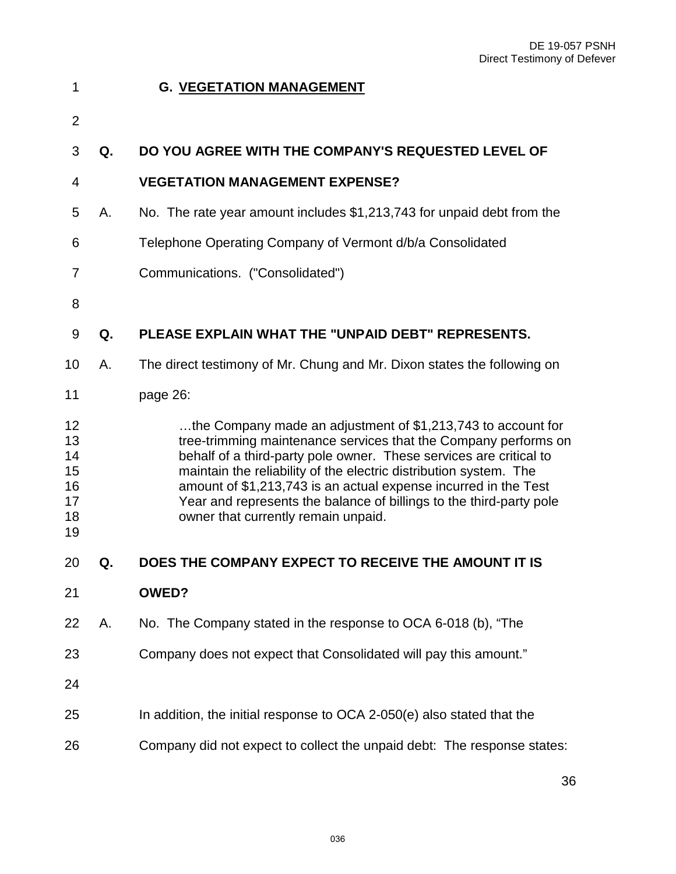<span id="page-35-0"></span>

| 1                                            |    | <b>G. VEGETATION MANAGEMENT</b>                                                                                                                                                                                                                                                                                                                                                                                                                             |
|----------------------------------------------|----|-------------------------------------------------------------------------------------------------------------------------------------------------------------------------------------------------------------------------------------------------------------------------------------------------------------------------------------------------------------------------------------------------------------------------------------------------------------|
| $\overline{2}$                               |    |                                                                                                                                                                                                                                                                                                                                                                                                                                                             |
| 3                                            | Q. | DO YOU AGREE WITH THE COMPANY'S REQUESTED LEVEL OF                                                                                                                                                                                                                                                                                                                                                                                                          |
| 4                                            |    | <b>VEGETATION MANAGEMENT EXPENSE?</b>                                                                                                                                                                                                                                                                                                                                                                                                                       |
| 5                                            | Α. | No. The rate year amount includes \$1,213,743 for unpaid debt from the                                                                                                                                                                                                                                                                                                                                                                                      |
| 6                                            |    | Telephone Operating Company of Vermont d/b/a Consolidated                                                                                                                                                                                                                                                                                                                                                                                                   |
| 7                                            |    | Communications. ("Consolidated")                                                                                                                                                                                                                                                                                                                                                                                                                            |
| 8                                            |    |                                                                                                                                                                                                                                                                                                                                                                                                                                                             |
| 9                                            | Q. | PLEASE EXPLAIN WHAT THE "UNPAID DEBT" REPRESENTS.                                                                                                                                                                                                                                                                                                                                                                                                           |
| 10                                           | Α. | The direct testimony of Mr. Chung and Mr. Dixon states the following on                                                                                                                                                                                                                                                                                                                                                                                     |
| 11                                           |    | page 26:                                                                                                                                                                                                                                                                                                                                                                                                                                                    |
| 12<br>13<br>14<br>15<br>16<br>17<br>18<br>19 |    | the Company made an adjustment of \$1,213,743 to account for<br>tree-trimming maintenance services that the Company performs on<br>behalf of a third-party pole owner. These services are critical to<br>maintain the reliability of the electric distribution system. The<br>amount of \$1,213,743 is an actual expense incurred in the Test<br>Year and represents the balance of billings to the third-party pole<br>owner that currently remain unpaid. |
| 20                                           | Q. | DOES THE COMPANY EXPECT TO RECEIVE THE AMOUNT IT IS                                                                                                                                                                                                                                                                                                                                                                                                         |
| 21                                           |    | <b>OWED?</b>                                                                                                                                                                                                                                                                                                                                                                                                                                                |
| 22                                           | Α. | No. The Company stated in the response to OCA 6-018 (b), "The                                                                                                                                                                                                                                                                                                                                                                                               |
| 23                                           |    | Company does not expect that Consolidated will pay this amount."                                                                                                                                                                                                                                                                                                                                                                                            |
| 24                                           |    |                                                                                                                                                                                                                                                                                                                                                                                                                                                             |
| 25                                           |    | In addition, the initial response to OCA 2-050(e) also stated that the                                                                                                                                                                                                                                                                                                                                                                                      |
| 26                                           |    | Company did not expect to collect the unpaid debt: The response states:                                                                                                                                                                                                                                                                                                                                                                                     |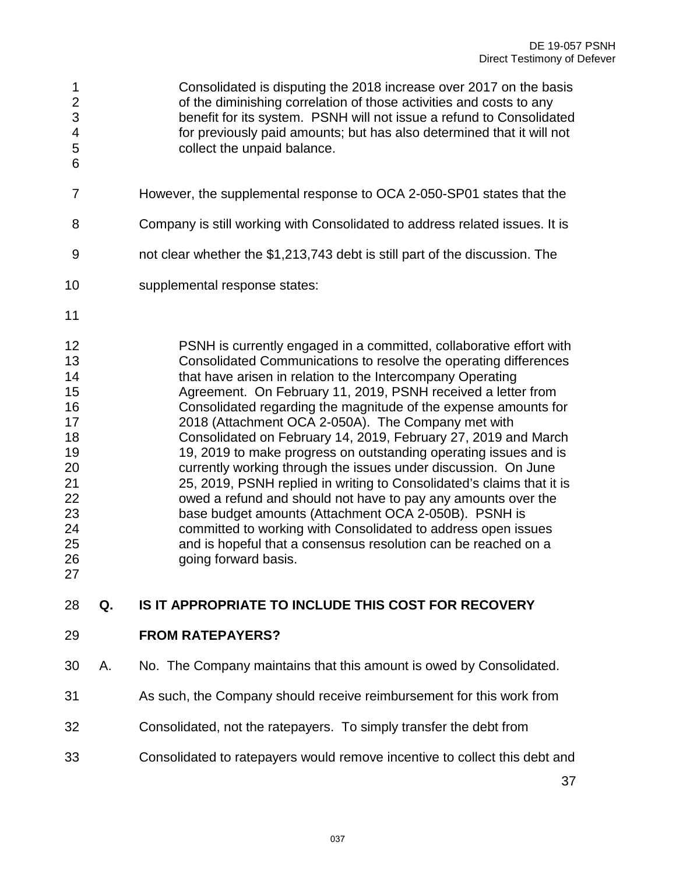1 Consolidated is disputing the 2018 increase over 2017 on the basis 2 of the diminishing correlation of those activities and costs to any 3 benefit for its system. PSNH will not issue a refund to Consolidated 4 for previously paid amounts; but has also determined that it will not 5 collect the unpaid balance. 

- 7 However, the supplemental response to OCA 2-050-SP01 states that the
- 8 Company is still working with Consolidated to address related issues. It is
- 9 not clear whether the \$1,213,743 debt is still part of the discussion. The
- supplemental response states:
- 

 PSNH is currently engaged in a committed, collaborative effort with Consolidated Communications to resolve the operating differences **that have arisen in relation to the Intercompany Operating**  Agreement. On February 11, 2019, PSNH received a letter from Consolidated regarding the magnitude of the expense amounts for 2018 (Attachment OCA 2-050A). The Company met with Consolidated on February 14, 2019, February 27, 2019 and March 19, 2019 to make progress on outstanding operating issues and is currently working through the issues under discussion. On June 25, 2019, PSNH replied in writing to Consolidated's claims that it is owed a refund and should not have to pay any amounts over the base budget amounts (Attachment OCA 2-050B). PSNH is committed to working with Consolidated to address open issues and is hopeful that a consensus resolution can be reached on a going forward basis.

#### **Q. IS IT APPROPRIATE TO INCLUDE THIS COST FOR RECOVERY**

**FROM RATEPAYERS?** 

- A. No. The Company maintains that this amount is owed by Consolidated.
- As such, the Company should receive reimbursement for this work from
- Consolidated, not the ratepayers. To simply transfer the debt from
- Consolidated to ratepayers would remove incentive to collect this debt and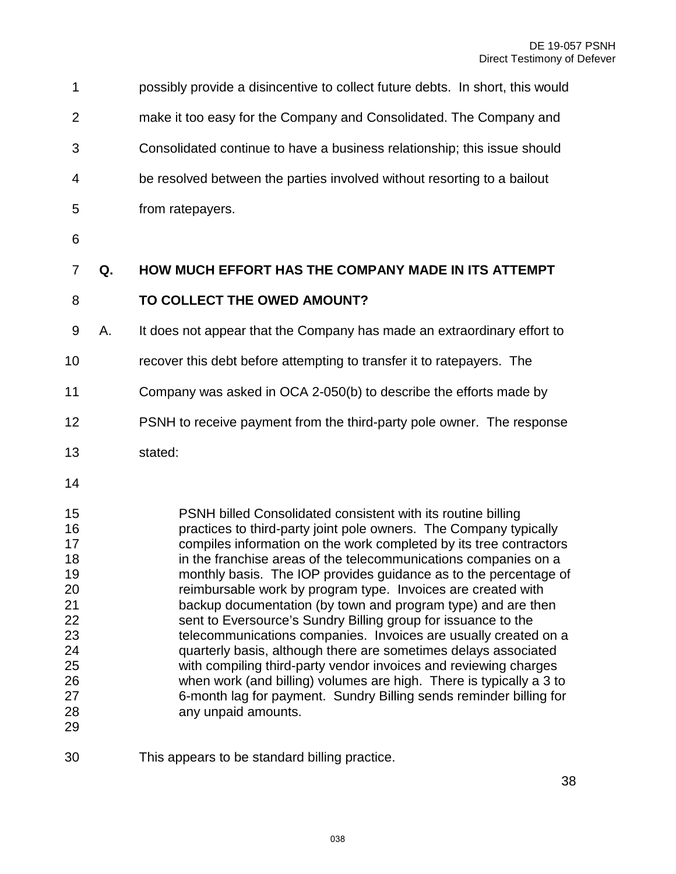| 1                                                                                      |    | possibly provide a disincentive to collect future debts. In short, this would                                                                                                                                                                                                                                                                                                                                                                                                                                                                                                                                                                                                                                                                                                                                                                                                                                                 |
|----------------------------------------------------------------------------------------|----|-------------------------------------------------------------------------------------------------------------------------------------------------------------------------------------------------------------------------------------------------------------------------------------------------------------------------------------------------------------------------------------------------------------------------------------------------------------------------------------------------------------------------------------------------------------------------------------------------------------------------------------------------------------------------------------------------------------------------------------------------------------------------------------------------------------------------------------------------------------------------------------------------------------------------------|
| $\overline{2}$                                                                         |    | make it too easy for the Company and Consolidated. The Company and                                                                                                                                                                                                                                                                                                                                                                                                                                                                                                                                                                                                                                                                                                                                                                                                                                                            |
| 3                                                                                      |    | Consolidated continue to have a business relationship; this issue should                                                                                                                                                                                                                                                                                                                                                                                                                                                                                                                                                                                                                                                                                                                                                                                                                                                      |
| 4                                                                                      |    | be resolved between the parties involved without resorting to a bailout                                                                                                                                                                                                                                                                                                                                                                                                                                                                                                                                                                                                                                                                                                                                                                                                                                                       |
| 5                                                                                      |    | from ratepayers.                                                                                                                                                                                                                                                                                                                                                                                                                                                                                                                                                                                                                                                                                                                                                                                                                                                                                                              |
| 6                                                                                      |    |                                                                                                                                                                                                                                                                                                                                                                                                                                                                                                                                                                                                                                                                                                                                                                                                                                                                                                                               |
| $\overline{7}$                                                                         | Q. | <b>HOW MUCH EFFORT HAS THE COMPANY MADE IN ITS ATTEMPT</b>                                                                                                                                                                                                                                                                                                                                                                                                                                                                                                                                                                                                                                                                                                                                                                                                                                                                    |
| 8                                                                                      |    | TO COLLECT THE OWED AMOUNT?                                                                                                                                                                                                                                                                                                                                                                                                                                                                                                                                                                                                                                                                                                                                                                                                                                                                                                   |
| 9                                                                                      | А. | It does not appear that the Company has made an extraordinary effort to                                                                                                                                                                                                                                                                                                                                                                                                                                                                                                                                                                                                                                                                                                                                                                                                                                                       |
| 10                                                                                     |    | recover this debt before attempting to transfer it to ratepayers. The                                                                                                                                                                                                                                                                                                                                                                                                                                                                                                                                                                                                                                                                                                                                                                                                                                                         |
| 11                                                                                     |    | Company was asked in OCA 2-050(b) to describe the efforts made by                                                                                                                                                                                                                                                                                                                                                                                                                                                                                                                                                                                                                                                                                                                                                                                                                                                             |
| 12                                                                                     |    | PSNH to receive payment from the third-party pole owner. The response                                                                                                                                                                                                                                                                                                                                                                                                                                                                                                                                                                                                                                                                                                                                                                                                                                                         |
| 13                                                                                     |    | stated:                                                                                                                                                                                                                                                                                                                                                                                                                                                                                                                                                                                                                                                                                                                                                                                                                                                                                                                       |
| 14                                                                                     |    |                                                                                                                                                                                                                                                                                                                                                                                                                                                                                                                                                                                                                                                                                                                                                                                                                                                                                                                               |
| 15<br>16<br>17<br>18<br>19<br>20<br>21<br>22<br>23<br>24<br>25<br>26<br>27<br>28<br>29 |    | PSNH billed Consolidated consistent with its routine billing<br>practices to third-party joint pole owners. The Company typically<br>compiles information on the work completed by its tree contractors<br>in the franchise areas of the telecommunications companies on a<br>monthly basis. The IOP provides guidance as to the percentage of<br>reimbursable work by program type. Invoices are created with<br>backup documentation (by town and program type) and are then<br>sent to Eversource's Sundry Billing group for issuance to the<br>telecommunications companies. Invoices are usually created on a<br>quarterly basis, although there are sometimes delays associated<br>with compiling third-party vendor invoices and reviewing charges<br>when work (and billing) volumes are high. There is typically a 3 to<br>6-month lag for payment. Sundry Billing sends reminder billing for<br>any unpaid amounts. |

This appears to be standard billing practice.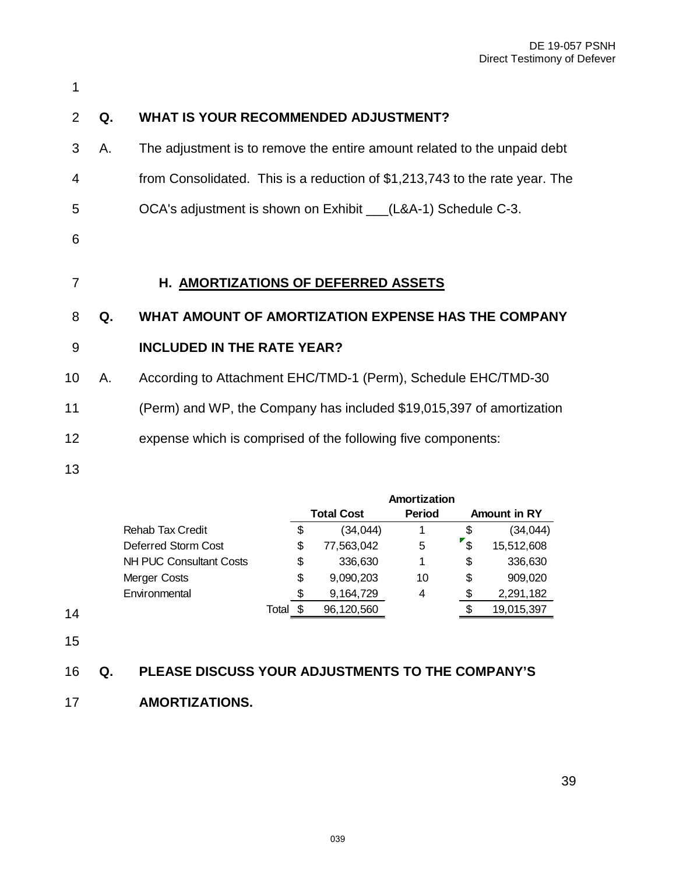<span id="page-38-0"></span>

| 1              |    |                                                                             |
|----------------|----|-----------------------------------------------------------------------------|
| 2              | Q. | <b>WHAT IS YOUR RECOMMENDED ADJUSTMENT?</b>                                 |
| 3              | Α. | The adjustment is to remove the entire amount related to the unpaid debt    |
| 4              |    | from Consolidated. This is a reduction of \$1,213,743 to the rate year. The |
| 5              |    | OCA's adjustment is shown on Exhibit ___(L&A-1) Schedule C-3.               |
| 6              |    |                                                                             |
| $\overline{7}$ |    | H. AMORTIZATIONS OF DEFERRED ASSETS                                         |
| 8              | Q. | WHAT AMOUNT OF AMORTIZATION EXPENSE HAS THE COMPANY                         |
| 9              |    | <b>INCLUDED IN THE RATE YEAR?</b>                                           |
| 10             | Α. | According to Attachment EHC/TMD-1 (Perm), Schedule EHC/TMD-30               |
| 11             |    | (Perm) and WP, the Company has included \$19,015,397 of amortization        |
| 12             |    | expense which is comprised of the following five components:                |
| 13             |    |                                                                             |

|                                |                   |    |               | Amortization        |    |            |
|--------------------------------|-------------------|----|---------------|---------------------|----|------------|
|                                | <b>Total Cost</b> |    | <b>Period</b> | <b>Amount in RY</b> |    |            |
| <b>Rehab Tax Credit</b>        |                   | \$ | (34, 044)     |                     | \$ | (34, 044)  |
| Deferred Storm Cost            |                   | \$ | 77,563,042    | 5                   | \$ | 15,512,608 |
| <b>NH PUC Consultant Costs</b> |                   | \$ | 336,630       | 1                   | \$ | 336,630    |
| Merger Costs                   |                   | \$ | 9,090,203     | 10                  | \$ | 909,020    |
| Environmental                  |                   | S  | 9,164,729     | 4                   | S  | 2,291,182  |
|                                | Total             |    | 96,120,560    |                     | S  | 19,015,397 |

15

# 16 **Q. PLEASE DISCUSS YOUR ADJUSTMENTS TO THE COMPANY'S**

17 **AMORTIZATIONS.**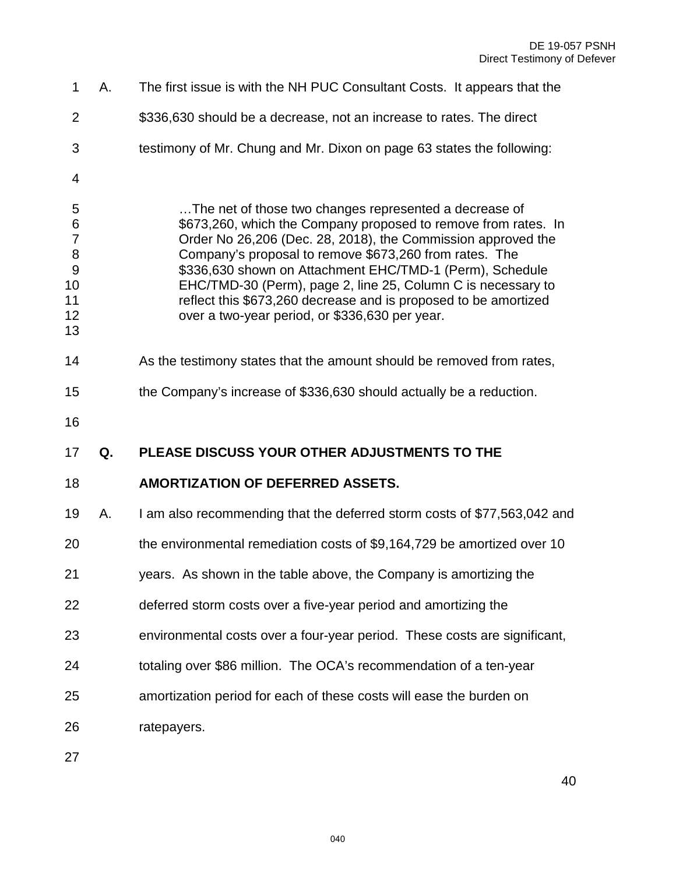| 1                                                                    | Α. | The first issue is with the NH PUC Consultant Costs. It appears that the                                                                                                                                                                                                                                                                                                                                                                                                                            |
|----------------------------------------------------------------------|----|-----------------------------------------------------------------------------------------------------------------------------------------------------------------------------------------------------------------------------------------------------------------------------------------------------------------------------------------------------------------------------------------------------------------------------------------------------------------------------------------------------|
| $\overline{2}$                                                       |    | \$336,630 should be a decrease, not an increase to rates. The direct                                                                                                                                                                                                                                                                                                                                                                                                                                |
| 3                                                                    |    | testimony of Mr. Chung and Mr. Dixon on page 63 states the following:                                                                                                                                                                                                                                                                                                                                                                                                                               |
| 4                                                                    |    |                                                                                                                                                                                                                                                                                                                                                                                                                                                                                                     |
| 5<br>$\,$ 6 $\,$<br>$\overline{7}$<br>8<br>9<br>10<br>11<br>12<br>13 |    | The net of those two changes represented a decrease of<br>\$673,260, which the Company proposed to remove from rates. In<br>Order No 26,206 (Dec. 28, 2018), the Commission approved the<br>Company's proposal to remove \$673,260 from rates. The<br>\$336,630 shown on Attachment EHC/TMD-1 (Perm), Schedule<br>EHC/TMD-30 (Perm), page 2, line 25, Column C is necessary to<br>reflect this \$673,260 decrease and is proposed to be amortized<br>over a two-year period, or \$336,630 per year. |
| 14                                                                   |    | As the testimony states that the amount should be removed from rates,                                                                                                                                                                                                                                                                                                                                                                                                                               |
| 15                                                                   |    | the Company's increase of \$336,630 should actually be a reduction.                                                                                                                                                                                                                                                                                                                                                                                                                                 |
|                                                                      |    |                                                                                                                                                                                                                                                                                                                                                                                                                                                                                                     |
| 16                                                                   |    |                                                                                                                                                                                                                                                                                                                                                                                                                                                                                                     |
| 17                                                                   | Q. | PLEASE DISCUSS YOUR OTHER ADJUSTMENTS TO THE                                                                                                                                                                                                                                                                                                                                                                                                                                                        |
| 18                                                                   |    | <b>AMORTIZATION OF DEFERRED ASSETS.</b>                                                                                                                                                                                                                                                                                                                                                                                                                                                             |
| 19                                                                   | А. | I am also recommending that the deferred storm costs of \$77,563,042 and                                                                                                                                                                                                                                                                                                                                                                                                                            |
| 20                                                                   |    | the environmental remediation costs of \$9,164,729 be amortized over 10                                                                                                                                                                                                                                                                                                                                                                                                                             |
| 21                                                                   |    | years. As shown in the table above, the Company is amortizing the                                                                                                                                                                                                                                                                                                                                                                                                                                   |
| 22                                                                   |    | deferred storm costs over a five-year period and amortizing the                                                                                                                                                                                                                                                                                                                                                                                                                                     |
| 23                                                                   |    | environmental costs over a four-year period. These costs are significant,                                                                                                                                                                                                                                                                                                                                                                                                                           |
| 24                                                                   |    | totaling over \$86 million. The OCA's recommendation of a ten-year                                                                                                                                                                                                                                                                                                                                                                                                                                  |
| 25                                                                   |    | amortization period for each of these costs will ease the burden on                                                                                                                                                                                                                                                                                                                                                                                                                                 |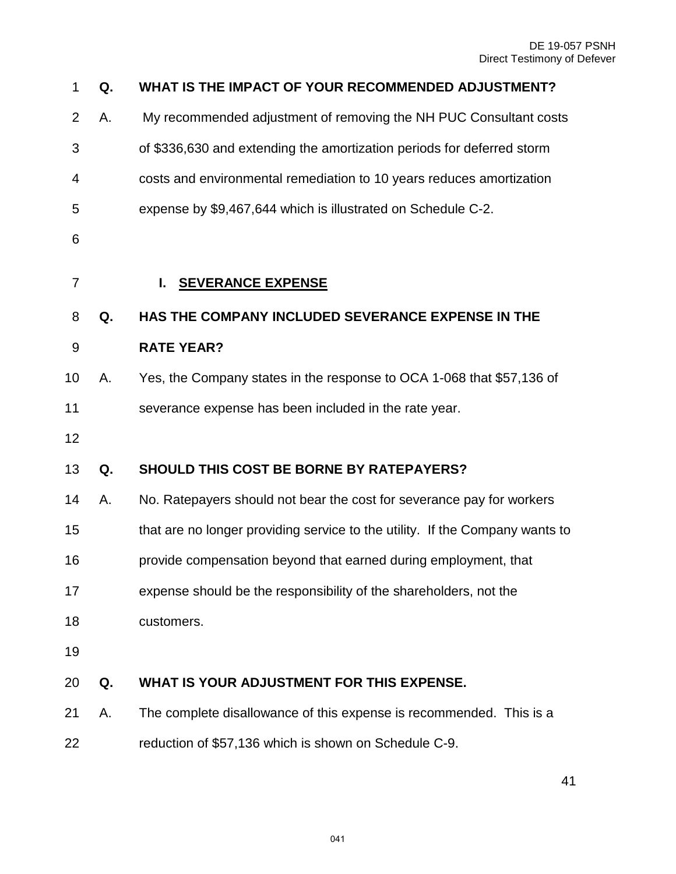<span id="page-40-0"></span>

| 1                | Q. | WHAT IS THE IMPACT OF YOUR RECOMMENDED ADJUSTMENT?                           |
|------------------|----|------------------------------------------------------------------------------|
| $\overline{2}$   | Α. | My recommended adjustment of removing the NH PUC Consultant costs            |
| 3                |    | of \$336,630 and extending the amortization periods for deferred storm       |
| 4                |    | costs and environmental remediation to 10 years reduces amortization         |
| 5                |    | expense by \$9,467,644 which is illustrated on Schedule C-2.                 |
| 6                |    |                                                                              |
| $\overline{7}$   |    | <b>SEVERANCE EXPENSE</b><br>L.                                               |
| 8                | Q. | HAS THE COMPANY INCLUDED SEVERANCE EXPENSE IN THE                            |
| $\boldsymbol{9}$ |    | <b>RATE YEAR?</b>                                                            |
| 10               | Α. | Yes, the Company states in the response to OCA 1-068 that \$57,136 of        |
| 11               |    | severance expense has been included in the rate year.                        |
| 12               |    |                                                                              |
| 13               | Q. | <b>SHOULD THIS COST BE BORNE BY RATEPAYERS?</b>                              |
| 14               | Α. | No. Ratepayers should not bear the cost for severance pay for workers        |
| 15               |    | that are no longer providing service to the utility. If the Company wants to |
| 16               |    | provide compensation beyond that earned during employment, that              |
| 17               |    | expense should be the responsibility of the shareholders, not the            |
| 18               |    | customers.                                                                   |
| 19               |    |                                                                              |
| 20               | Q. | WHAT IS YOUR ADJUSTMENT FOR THIS EXPENSE.                                    |
| 21               | Α. | The complete disallowance of this expense is recommended. This is a          |
| 22               |    | reduction of \$57,136 which is shown on Schedule C-9.                        |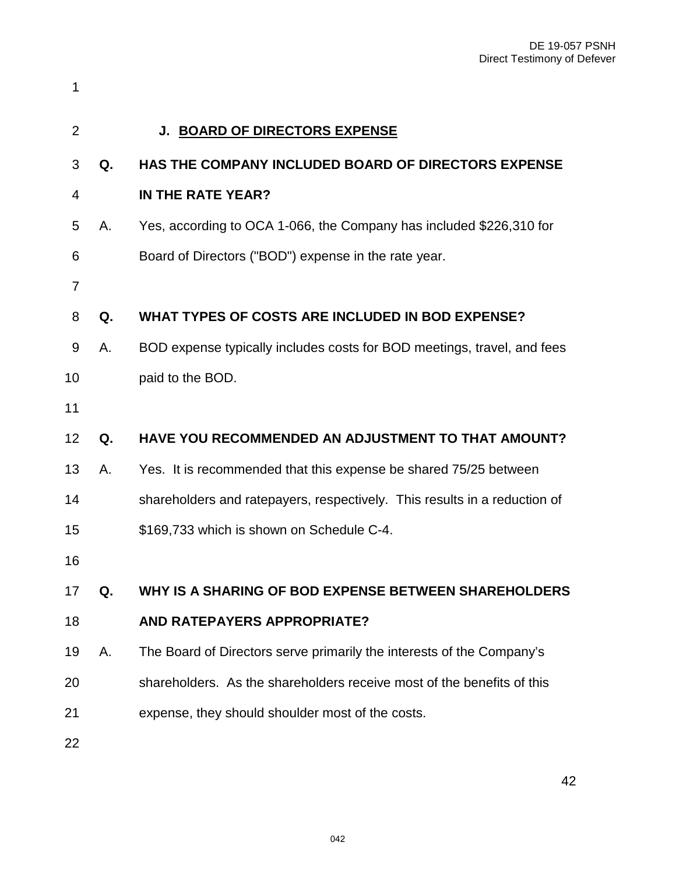<span id="page-41-0"></span>

| $\overline{2}$ |    | J. BOARD OF DIRECTORS EXPENSE                                             |
|----------------|----|---------------------------------------------------------------------------|
| 3              | Q. | HAS THE COMPANY INCLUDED BOARD OF DIRECTORS EXPENSE                       |
| 4              |    | IN THE RATE YEAR?                                                         |
| 5              | Α. | Yes, according to OCA 1-066, the Company has included \$226,310 for       |
| 6              |    | Board of Directors ("BOD") expense in the rate year.                      |
| 7              |    |                                                                           |
| 8              | Q. | WHAT TYPES OF COSTS ARE INCLUDED IN BOD EXPENSE?                          |
| 9              | Α. | BOD expense typically includes costs for BOD meetings, travel, and fees   |
| 10             |    | paid to the BOD.                                                          |
| 11             |    |                                                                           |
| 12             | Q. | HAVE YOU RECOMMENDED AN ADJUSTMENT TO THAT AMOUNT?                        |
| 13             | Α. | Yes. It is recommended that this expense be shared 75/25 between          |
| 14             |    | shareholders and ratepayers, respectively. This results in a reduction of |
| 15             |    | \$169,733 which is shown on Schedule C-4.                                 |
| 16             |    |                                                                           |
| 17             | Q. | WHY IS A SHARING OF BOD EXPENSE BETWEEN SHAREHOLDERS                      |
| 18             |    | <b>AND RATEPAYERS APPROPRIATE?</b>                                        |
| 19             | Α. | The Board of Directors serve primarily the interests of the Company's     |
| 20             |    | shareholders. As the shareholders receive most of the benefits of this    |
| 21             |    | expense, they should shoulder most of the costs.                          |
| 22             |    |                                                                           |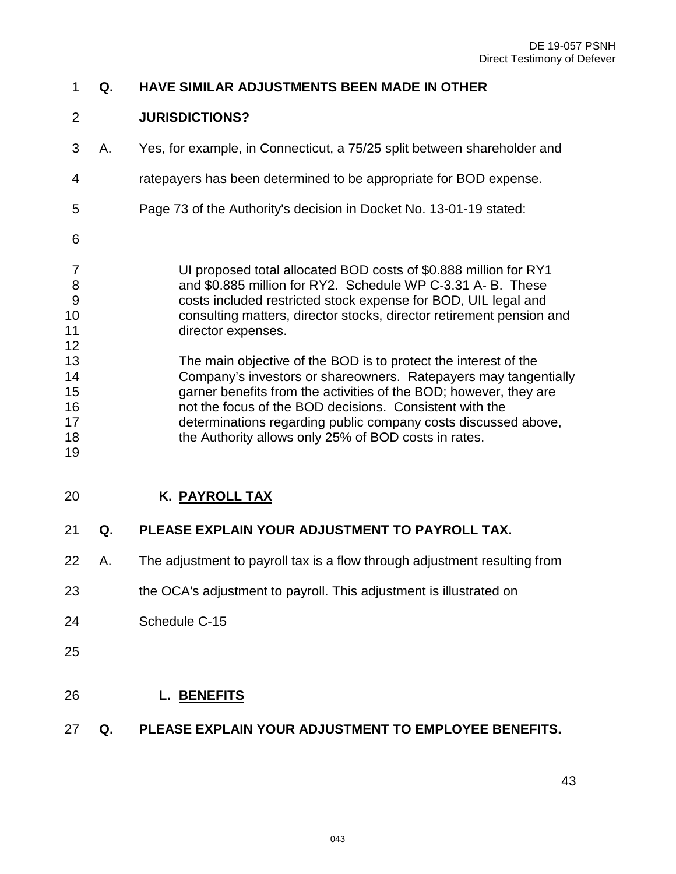# **Q. HAVE SIMILAR ADJUSTMENTS BEEN MADE IN OTHER**

#### **JURISDICTIONS?**

- 3 A. Yes, for example, in Connecticut, a 75/25 split between shareholder and
- 4 ratepayers has been determined to be appropriate for BOD expense.
- 5 Page 73 of the Authority's decision in Docket No. 13-01-19 stated:
- 7 UI proposed total allocated BOD costs of \$0.888 million for RY1 8 and \$0.885 million for RY2. Schedule WP C-3.31 A- B. These 9 costs included restricted stock expense for BOD, UIL legal and consulting matters, director stocks, director retirement pension and 11 director expenses.
- The main objective of the BOD is to protect the interest of the Company's investors or shareowners. Ratepayers may tangentially garner benefits from the activities of the BOD; however, they are not the focus of the BOD decisions. Consistent with the determinations regarding public company costs discussed above, 18 the Authority allows only 25% of BOD costs in rates.
- <span id="page-42-0"></span>**K. PAYROLL TAX**
- **Q. PLEASE EXPLAIN YOUR ADJUSTMENT TO PAYROLL TAX.**
- A. The adjustment to payroll tax is a flow through adjustment resulting from
- the OCA's adjustment to payroll. This adjustment is illustrated on
- Schedule C-15
- 

- <span id="page-42-1"></span>**L. BENEFITS**
- **Q. PLEASE EXPLAIN YOUR ADJUSTMENT TO EMPLOYEE BENEFITS.**